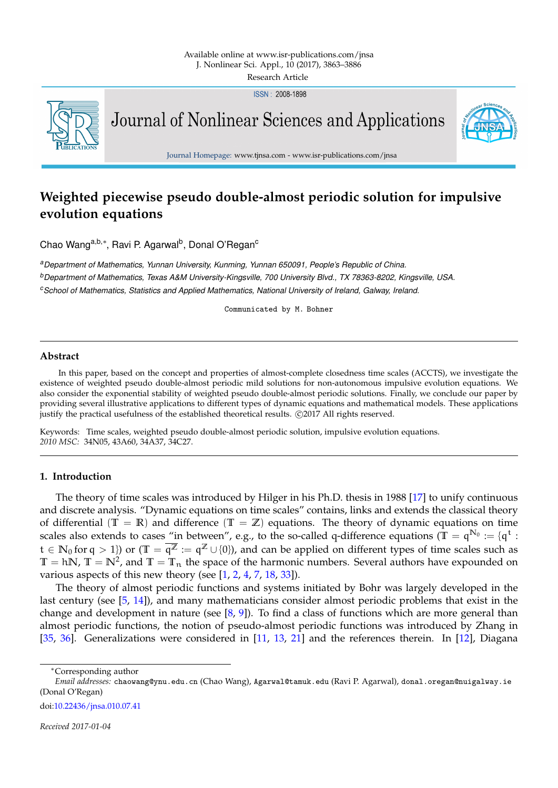ISSN: 2008-1898



Journal of Nonlinear Sciences and Applications



Journal Homepage: www.tjnsa.com - www.isr-publications.com/jnsa

# **Weighted piecewise pseudo double-almost periodic solution for impulsive evolution equations**

Chao Wang<sup>a,b,∗</sup>, Ravi P. Agarwal<sup>b</sup>, Donal O'Regan<sup>c</sup>

*<sup>a</sup>Department of Mathematics, Yunnan University, Kunming, Yunnan 650091, People's Republic of China. <sup>b</sup>Department of Mathematics, Texas A&M University-Kingsville, 700 University Blvd., TX 78363-8202, Kingsville, USA. <sup>c</sup>School of Mathematics, Statistics and Applied Mathematics, National University of Ireland, Galway, Ireland.*

Communicated by M. Bohner

# **Abstract**

In this paper, based on the concept and properties of almost-complete closedness time scales (ACCTS), we investigate the existence of weighted pseudo double-almost periodic mild solutions for non-autonomous impulsive evolution equations. We also consider the exponential stability of weighted pseudo double-almost periodic solutions. Finally, we conclude our paper by providing several illustrative applications to different types of dynamic equations and mathematical models. These applications justify the practical usefulness of the established theoretical results. ©2017 All rights reserved.

Keywords: Time scales, weighted pseudo double-almost periodic solution, impulsive evolution equations. *2010 MSC:* 34N05, 43A60, 34A37, 34C27.

# <span id="page-0-0"></span>**1. Introduction**

The theory of time scales was introduced by Hilger in his Ph.D. thesis in 1988 [\[17\]](#page-23-0) to unify continuous and discrete analysis. "Dynamic equations on time scales" contains, links and extends the classical theory of differential  $(\mathbb{T} = \mathbb{R})$  and difference  $(\mathbb{T} = \mathbb{Z})$  equations. The theory of dynamic equations on time scales also extends to cases "in between", e.g., to the so-called q-difference equations (T =  $\mathfrak{q}^{\mathbb{N}_0}:=\{\mathfrak{q}^{\mathsf{t}}\,:\,$  $t\in\mathbb{N}_0$  for  $\mathfrak{q}>1$ )) or  $(\mathbb{T}=\overline{\mathfrak{q}^{\mathbb{Z}}}:=\mathfrak{q}^{\mathbb{Z}}\cup\{0\})$ , and can be applied on different types of time scales such as  $\mathbb{T} = h\mathbb{N}$ ,  $\mathbb{T} = \mathbb{N}^2$ , and  $\mathbb{T} = \mathbb{T}_n$  the space of the harmonic numbers. Several authors have expounded on various aspects of this new theory (see [\[1,](#page-22-0) [2,](#page-22-1) [4,](#page-22-2) [7,](#page-23-1) [18,](#page-23-2) [33\]](#page-23-3)).

The theory of almost periodic functions and systems initiated by Bohr was largely developed in the last century (see [\[5,](#page-22-3) [14\]](#page-23-4)), and many mathematicians consider almost periodic problems that exist in the change and development in nature (see  $[8, 9]$  $[8, 9]$  $[8, 9]$ ). To find a class of functions which are more general than almost periodic functions, the notion of pseudo-almost periodic functions was introduced by Zhang in [\[35,](#page-23-7) [36\]](#page-23-8). Generalizations were considered in [\[11,](#page-23-9) [13,](#page-23-10) [21\]](#page-23-11) and the references therein. In [\[12\]](#page-23-12), Diagana

doi[:10.22436/jnsa.010.07.41](http://dx.doi.org/10.22436/jnsa.010.07.41)

*Received 2017-01-04*

<sup>∗</sup>Corresponding author

*Email addresses:* chaowang@ynu.edu.cn (Chao Wang), Agarwal@tamuk.edu (Ravi P. Agarwal), donal.oregan@nuigalway.ie (Donal O'Regan)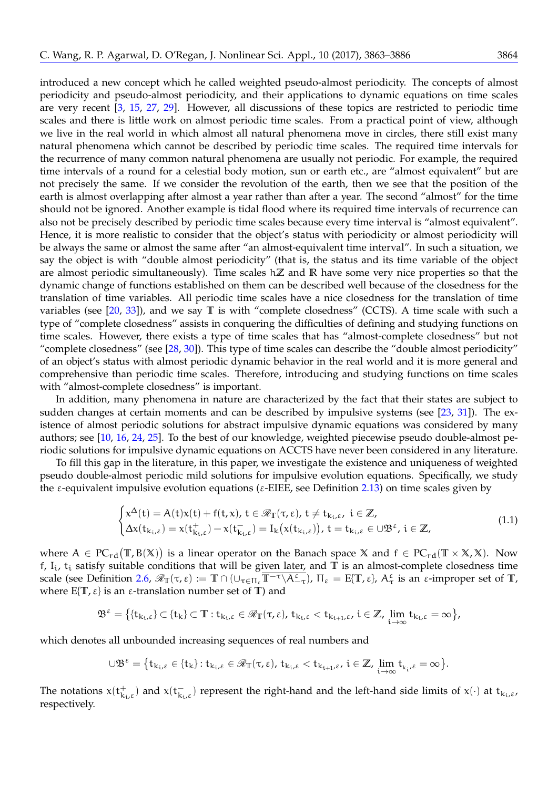introduced a new concept which he called weighted pseudo-almost periodicity. The concepts of almost periodicity and pseudo-almost periodicity, and their applications to dynamic equations on time scales are very recent [\[3,](#page-22-4) [15,](#page-23-13) [27,](#page-23-14) [29\]](#page-23-15). However, all discussions of these topics are restricted to periodic time scales and there is little work on almost periodic time scales. From a practical point of view, although we live in the real world in which almost all natural phenomena move in circles, there still exist many natural phenomena which cannot be described by periodic time scales. The required time intervals for the recurrence of many common natural phenomena are usually not periodic. For example, the required time intervals of a round for a celestial body motion, sun or earth etc., are "almost equivalent" but are not precisely the same. If we consider the revolution of the earth, then we see that the position of the earth is almost overlapping after almost a year rather than after a year. The second "almost" for the time should not be ignored. Another example is tidal flood where its required time intervals of recurrence can also not be precisely described by periodic time scales because every time interval is "almost equivalent". Hence, it is more realistic to consider that the object's status with periodicity or almost periodicity will be always the same or almost the same after "an almost-equivalent time interval". In such a situation, we say the object is with "double almost periodicity" (that is, the status and its time variable of the object are almost periodic simultaneously). Time scales h**Z** and **R** have some very nice properties so that the dynamic change of functions established on them can be described well because of the closedness for the translation of time variables. All periodic time scales have a nice closedness for the translation of time variables (see [\[20,](#page-23-16) [33\]](#page-23-3)), and we say **T** is with "complete closedness" (CCTS). A time scale with such a type of "complete closedness" assists in conquering the difficulties of defining and studying functions on time scales. However, there exists a type of time scales that has "almost-complete closedness" but not "complete closedness" (see [\[28,](#page-23-17) [30\]](#page-23-18)). This type of time scales can describe the "double almost periodicity" of an object's status with almost periodic dynamic behavior in the real world and it is more general and comprehensive than periodic time scales. Therefore, introducing and studying functions on time scales with "almost-complete closedness" is important.

In addition, many phenomena in nature are characterized by the fact that their states are subject to sudden changes at certain moments and can be described by impulsive systems (see [\[23,](#page-23-19) [31\]](#page-23-20)). The existence of almost periodic solutions for abstract impulsive dynamic equations was considered by many authors; see [\[10,](#page-23-21) [16,](#page-23-22) [24,](#page-23-23) [25\]](#page-23-24). To the best of our knowledge, weighted piecewise pseudo double-almost periodic solutions for impulsive dynamic equations on ACCTS have never been considered in any literature.

To fill this gap in the literature, in this paper, we investigate the existence and uniqueness of weighted pseudo double-almost periodic mild solutions for impulsive evolution equations. Specifically, we study the ε-equivalent impulsive evolution equations (ε-EIEE, see Definition [2.13\)](#page-4-0) on time scales given by

<span id="page-1-0"></span>
$$
\begin{cases} x^{\Delta}(t) = A(t)x(t) + f(t, x), t \in \mathcal{R}_{\mathbb{T}}(\tau, \epsilon), t \neq t_{k_{i}, \epsilon}, i \in \mathbb{Z}, \\ \Delta x(t_{k_{i}, \epsilon}) = x(t_{k_{i}, \epsilon}^{+}) - x(t_{k_{i}, \epsilon}^{-}) = I_{k}(x(t_{k_{i}, \epsilon})), t = t_{k_{i}, \epsilon} \in \cup \mathfrak{B}^{\epsilon}, i \in \mathbb{Z}, \end{cases}
$$
(1.1)

where  $A \in PC_{rd}(T, B(X))$  is a linear operator on the Banach space X and  $f \in PC_{rd}(T \times X, X)$ . Now f,  $I_i$ ,  $t_i$  satisfy suitable conditions that will be given later, and  $T$  is an almost-complete closedness time scale (see Definition [2.6,](#page-3-0)  $\mathscr{R}_{\mathbb{T}}(τ, ε) := \mathbb{T} ∩ (∪_{τ ∈ Π_ε} \overline{\mathbb{T}^{-τ} ∖ A_{-τ}^ε})$ , Π<sub>ε</sub> = E{T, ε}, Α $_{τ}^ε$  is an ε-improper set of T, where  $E(T, \varepsilon)$  is an  $\varepsilon$ -translation number set of  $T$ ) and

$$
\mathfrak{B}^\epsilon = \big\{ \{t_{k_i,\epsilon}\} \subset \{t_k\} \subset \mathbb{T}: t_{k_i,\epsilon} \in \mathscr{R}_\mathbb{T}(\tau,\epsilon), \, t_{k_i,\epsilon} < t_{k_{i+1},\epsilon}, \, i \in \mathbb{Z}, \, \lim_{i \to \infty} t_{k_i,\epsilon} = \infty \big\},
$$

which denotes all unbounded increasing sequences of real numbers and

$$
\cup \mathfrak{B}^\epsilon = \big\{ t_{k_i,\epsilon} \in \{t_k\} \colon t_{k_i,\epsilon} \in \mathscr{R}_\mathbb{T}(\tau,\epsilon), \, t_{k_i,\epsilon} < t_{k_{i+1},\epsilon}, \, i \in \mathbb{Z}, \, \lim_{i \to \infty} t_{k_i,\epsilon} = \infty \big\}.
$$

The notations  $x(t_{k_i,\varepsilon}^+)$  and  $x(t_{k_i,\varepsilon}^-)$  represent the right-hand and the left-hand side limits of  $x(\cdot)$  at  $t_{k_i,\varepsilon}$ , respectively.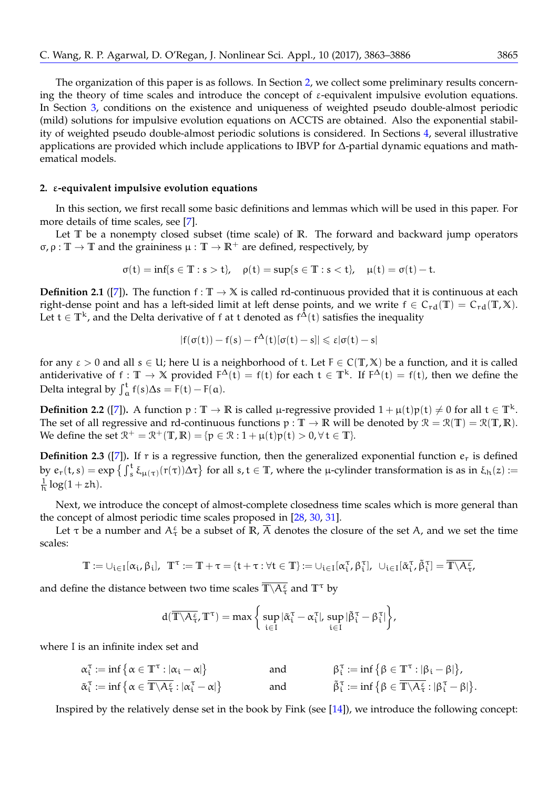The organization of this paper is as follows. In Section [2,](#page-2-0) we collect some preliminary results concerning the theory of time scales and introduce the concept of  $\varepsilon$ -equivalent impulsive evolution equations. In Section [3,](#page-4-1) conditions on the existence and uniqueness of weighted pseudo double-almost periodic (mild) solutions for impulsive evolution equations on ACCTS are obtained. Also the exponential stability of weighted pseudo double-almost periodic solutions is considered. In Sections [4,](#page-17-0) several illustrative applications are provided which include applications to IBVP for ∆-partial dynamic equations and mathematical models.

# <span id="page-2-0"></span>**2.** ε**-equivalent impulsive evolution equations**

In this section, we first recall some basic definitions and lemmas which will be used in this paper. For more details of time scales, see [\[7\]](#page-23-1).

Let **T** be a nonempty closed subset (time scale) of **R**. The forward and backward jump operators  $\sigma$ ,  $\rho : \mathbb{T} \to \mathbb{T}$  and the graininess  $\mu : \mathbb{T} \to \mathbb{R}^+$  are defined, respectively, by

$$
\sigma(t)=\inf\{s\in\mathbb{T}:s>t\},\quad \rho(t)=sup\{s\in\mathbb{T}:s
$$

<span id="page-2-2"></span>**Definition 2.1** ([\[7\]](#page-23-1)). The function  $f : \mathbb{T} \to \mathbb{X}$  is called rd-continuous provided that it is continuous at each right-dense point and has a left-sided limit at left dense points, and we write  $f \in C_{rd}(\mathbb{T}) = C_{rd}(\mathbb{T}, \mathbb{X})$ . Let  $t \in \mathbb{T}^k$ , and the Delta derivative of f at t denoted as  $f^{\Delta}(t)$  satisfies the inequality

$$
|f(\sigma(t))-f(s)-f^{\Delta}(t)[\sigma(t)-s]|\leqslant \epsilon |\sigma(t)-s|
$$

for any  $\varepsilon > 0$  and all  $s \in U$ ; here U is a neighborhood of t. Let  $F \in C(T,X)$  be a function, and it is called antiderivative of  $f: \mathbb{T} \to \mathbb{X}$  provided  $F^{\Delta}(t) = f(t)$  for each  $t \in \mathbb{T}^{k}$ . If  $F^{\Delta}(t) = f(t)$ , then we define the Delta integral by  $\int_{a}^{t} f(s) \Delta s = F(t) - F(a)$ .

<span id="page-2-3"></span>**Definition 2.2** ([\[7\]](#page-23-1)). A function  $p : \mathbb{T} \to \mathbb{R}$  is called  $\mu$ -regressive provided  $1 + \mu(t)p(t) \neq 0$  for all  $t \in \mathbb{T}^k$ . The set of all regressive and rd-continuous functions  $p : \mathbb{T} \to \mathbb{R}$  will be denoted by  $\mathcal{R} = \mathcal{R}(\mathbb{T}) = \mathcal{R}(\mathbb{T}, \mathbb{R})$ . We define the set  $\mathcal{R}^+ = \mathcal{R}^+(\mathbb{T}, \mathbb{R}) = \{p \in \mathcal{R} : 1 + \mu(t)p(t) > 0, \forall t \in \mathbb{T}\}.$ 

<span id="page-2-4"></span>**Definition 2.3** ([\[7\]](#page-23-1)). If r is a regressive function, then the generalized exponential function  $e_r$  is defined by  $e_r(t,s) = \exp\left\{\int_s^t \xi_{\mu(\tau)}(r(\tau)) \Delta \tau\right\}$  for all  $s, t \in \mathbb{T}$ , where the  $\mu$ -cylinder transformation is as in  $\xi_h(z) :=$  $\frac{1}{h} \log(1 + zh)$ .

Next, we introduce the concept of almost-complete closedness time scales which is more general than the concept of almost periodic time scales proposed in [\[28,](#page-23-17) [30,](#page-23-18) [31\]](#page-23-20).

Let  $\tau$  be a number and  $A_{\tau}^{\varepsilon}$  be a subset of  $\mathbb{R}$ ,  $\overline{A}$  denotes the closure of the set A, and we set the time scales:

$$
\mathbb{T}:=\cup_{i\in I}[\alpha_i,\beta_i],\ \ \mathbb{T}^\tau:=\mathbb{T}+\tau=\{t+\tau: \forall t\in\mathbb{T}\}:=\cup_{i\in I}[\alpha_i^\tau,\beta_i^\tau],\ \ \cup_{i\in I}[\tilde{\alpha}_i^\tau,\tilde{\beta}_i^\tau]=\overline{\mathbb{T}\backslash A_\tau^\epsilon},
$$

and define the distance between two time scales  $\overline{\mathbb{T} \backslash A_\tau^\varepsilon}$  and  $\mathbb{T}^\tau$  by

<span id="page-2-1"></span>
$$
d(\overline{\mathbb{T}\backslash A^\epsilon_\tau},\mathbb{T}^\tau)=\text{max}\, \bigg\{\sup_{t\in I}|\tilde{\alpha}^\tau_t-\alpha^\tau_t|,\, \sup_{t\in I}|\tilde{\beta}^\tau_t-\beta^\tau_t|\bigg\},
$$

where I is an infinite index set and

$$
\begin{aligned} \alpha_i^{\tau} &:= \inf \big\{ \alpha \in \mathbb{T}^{\tau} : |\alpha_i - \alpha| \big\} &\qquad \qquad \text{and} &\qquad \beta_i^{\tau} := \inf \big\{ \beta \in \mathbb{T}^{\tau} : |\beta_i - \beta| \big\}, \\ \tilde{\alpha}_i^{\tau} &:= \inf \big\{ \alpha \in \overline{\mathbb{T} \setminus A_{\tau}^{\epsilon}} : |\alpha_i^{\tau} - \alpha| \big\} &\qquad \qquad \text{and} &\qquad \tilde{\beta}_i^{\tau} := \inf \big\{ \beta \in \overline{\mathbb{T} \setminus A_{\tau}^{\epsilon}} : |\beta_i^{\tau} - \beta| \big\}. \end{aligned}
$$

Inspired by the relatively dense set in the book by Fink (see [\[14\]](#page-23-4)), we introduce the following concept: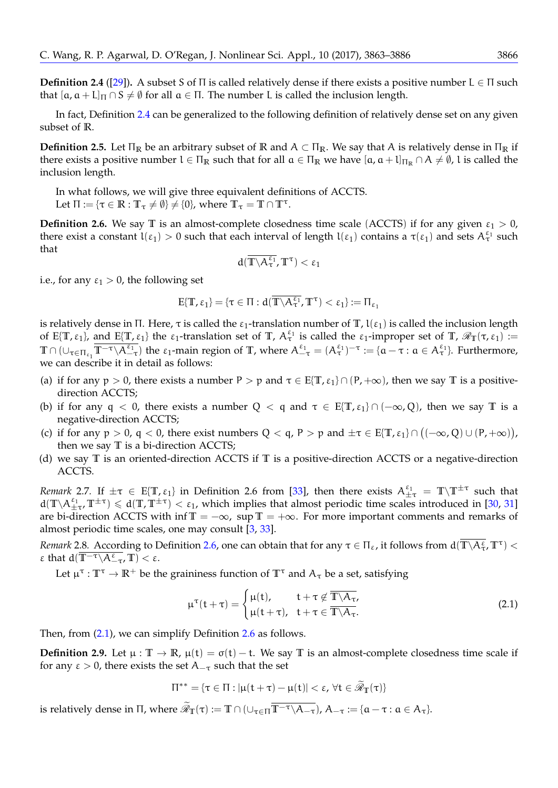<span id="page-3-1"></span>**Definition 2.4** ([\[29\]](#page-23-15))**.** A subset S of Π is called relatively dense if there exists a positive number L ∈ Π such that  $[a, a + L]$ <sub> $\Pi$ </sub>  $\cap$   $S \neq \emptyset$  for all  $a \in \Pi$ . The number L is called the inclusion length.

In fact, Definition [2.4](#page-3-1) can be generalized to the following definition of relatively dense set on any given subset of **R**.

**Definition 2.5.** Let  $\Pi_R$  be an arbitrary subset of  $\R$  and  $A \subset \Pi_R$ . We say that A is relatively dense in  $\Pi_R$  if there exists a positive number  $l \in \Pi_R$  such that for all  $a \in \Pi_R$  we have  $[a, a + l]_{\Pi_R} \cap A \neq \emptyset$ , l is called the inclusion length.

In what follows, we will give three equivalent definitions of ACCTS. Let  $\Pi := {\tau \in \mathbb{R} : \mathbb{T}_{\tau} \neq \emptyset} \neq \{0\}$ , where  $\mathbb{T}_{\tau} = \mathbb{T} \cap \mathbb{T}^{\tau}$ .

<span id="page-3-0"></span>**Definition 2.6.** We say T is an almost-complete closedness time scale (ACCTS) if for any given  $\varepsilon_1 > 0$ , there exist a constant  $l(\epsilon_1) > 0$  such that each interval of length  $l(\epsilon_1)$  contains a  $\tau(\epsilon_1)$  and sets  $A_\tau^{\epsilon_1}$  such that

$$
d(\overline{\mathbb{T}\backslash A_\tau^{\epsilon_1}},\mathbb{T}^\tau)<\epsilon_1
$$

i.e., for any  $\varepsilon_1 > 0$ , the following set

$$
E\{T, \epsilon_1\} = \{\tau \in \Pi : d(\overline{T \setminus A_{\tau}^{\epsilon_1}}, T^{\tau}) < \epsilon_1\} := \Pi_{\epsilon_1}
$$

is relatively dense in Π. Here, τ is called the  $ε_1$ -translation number of  $\mathbb{T}$ ,  $l(ε_1)$  is called the inclusion length of  $E\{\mathbb{T}, \varepsilon_1\}$ , and  $E\{\mathbb{T}, \varepsilon_1\}$  the  $\varepsilon_1$ -translation set of  $\mathbb{T}$ ,  $A_{\tau}^{\varepsilon_1}$  is called the  $\varepsilon_1$ -improper set of  $\mathbb{T}$ ,  $\mathscr{R}_{\mathbb{T}}(\tau, \varepsilon_1)$  :=  $\mathbb{T} \cap (\cup_{\tau \in \Pi_{\epsilon_1}} \overline{\mathbb{T}^{-\tau} \setminus A_{-\tau}^{\epsilon_1}})$  the  $\epsilon_1$ -main region of  $\mathbb{T}$ , where  $A_{-\tau}^{\epsilon_1} = (A_{\tau}^{\epsilon_1})^{-\tau} := \{ \alpha - \tau : \alpha \in A_{\tau}^{\epsilon_1} \}$ . Furthermore, we can describe it in detail as follows:

- (a) if for any  $p > 0$ , there exists a number  $P > p$  and  $\tau \in E[T, \epsilon_1] \cap (P, +\infty)$ , then we say  $T$  is a positivedirection ACCTS;
- (b) if for any  $q < 0$ , there exists a number  $Q < q$  and  $\tau \in E\{T, \epsilon_1\} \cap (-\infty, Q)$ , then we say T is a negative-direction ACCTS;
- (c) if for any  $p > 0$ ,  $q < 0$ , there exist numbers  $Q < q$ ,  $P > p$  and  $\pm \tau \in E\{T, \epsilon_1\} \cap ((-\infty, Q) \cup (P, +\infty))$ , then we say **T** is a bi-direction ACCTS;
- (d) we say **T** is an oriented-direction ACCTS if **T** is a positive-direction ACCTS or a negative-direction ACCTS.

<span id="page-3-3"></span>*Remark* 2.7. If  $\pm \tau \in E[T, \epsilon_1]$  in Definition 2.6 from [\[33\]](#page-23-3), then there exists  $A_{\pm \tau}^{\epsilon_1} = T \T^{\pm \tau}$  such that  $d(\mathbb{T}\setminus A_{\pm\tau}^{\epsilon_1}, \mathbb{T}^{\pm\tau}) \le d(\mathbb{T}, \mathbb{T}^{\pm\tau}) < \epsilon_1$ , which implies that almost periodic time scales introduced in [\[30,](#page-23-18) [31\]](#page-23-20) are bi-direction ACCTS with inf  $\mathbb{T} = -\infty$ , sup  $\mathbb{T} = +\infty$ . For more important comments and remarks of almost periodic time scales, one may consult [\[3,](#page-22-4) [33\]](#page-23-3).

*Remark* 2.8. According to Definition [2.6,](#page-3-0) one can obtain that for any  $\tau \in \Pi_{\varepsilon}$ , it follows from  $d(\overline{\mathbb{T}\backslash A^{\varepsilon}_{\tau}},\mathbb{T}^{\tau})$  $\varepsilon$  that  $d(\overline{\mathbb{T}^{-\tau} \setminus A_{-\tau}}^{\varepsilon}, \mathbb{T}) < \varepsilon$ .

Let  $\mu^{\tau} : \mathbb{T}^{\tau} \to \mathbb{R}^+$  be the graininess function of  $\mathbb{T}^{\tau}$  and  $A_{\tau}$  be a set, satisfying

$$
\mu^{\tau}(t+\tau) = \begin{cases} \mu(t), & t+\tau \notin \overline{\mathbb{T} \setminus A_{\tau}}, \\ \mu(t+\tau), & t+\tau \in \overline{\mathbb{T} \setminus A_{\tau}}. \end{cases}
$$
(2.1)

Then, from [\(2.1\)](#page-2-1), we can simplify Definition [2.6](#page-3-0) as follows.

<span id="page-3-2"></span>**Definition 2.9.** Let  $\mu : \mathbb{T} \to \mathbb{R}$ ,  $\mu(t) = \sigma(t) - t$ . We say  $\mathbb{T}$  is an almost-complete closedness time scale if for any  $\epsilon > 0$ , there exists the set  $A_{-\tau}$  such that the set

$$
\Pi^{**}=\{\tau\in\Pi:|\mu(t+\tau)-\mu(t)|<\epsilon,\,\forall t\in\widetilde{\mathscr{R}}_{\mathbb{T}}(\tau)\}
$$

is relatively dense in  $\Pi$ , where  $\mathscr{R}_{\mathbb{T}}(\tau) := \mathbb{T} \cap (\cup_{\tau \in \Pi} \mathbb{T}^{-\tau} \setminus A_{-\tau}), A_{-\tau} := \{ \mathfrak{a} - \tau : \mathfrak{a} \in A_{\tau} \}.$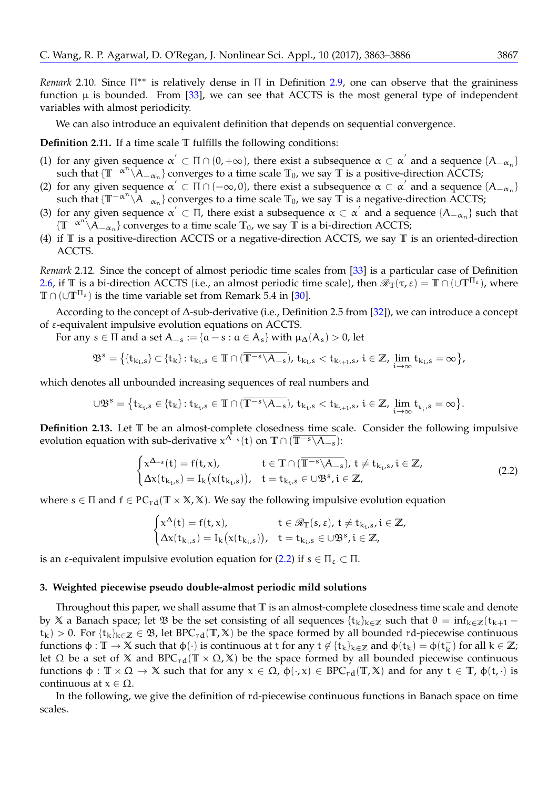<span id="page-4-4"></span>*Remark* 2.10. Since Π<sup>\*\*</sup> is relatively dense in Π in Definition [2.9,](#page-3-2) one can observe that the graininess function  $\mu$  is bounded. From [\[33\]](#page-23-3), we can see that ACCTS is the most general type of independent variables with almost periodicity.

We can also introduce an equivalent definition that depends on sequential convergence.

**Definition 2.11.** If a time scale **T** fulfills the following conditions:

- (1) for any given sequence  $\alpha' \subset \Pi \cap (0, +\infty)$ , there exist a subsequence  $\alpha \subset \alpha'$  and a sequence  $\{A_{-\alpha_n}\}$ such that {T<sup>-αn</sup> \A<sub>−αn</sub>} converges to a time scale  $\mathbb{T}_0$ , we say T is a positive-direction ACCTS;
- (2) for any given sequence  $\alpha' \subset \Pi \cap (-\infty, 0)$ , there exist a subsequence  $\alpha \subset \alpha'$  and a sequence  $\{A_{-\alpha_n}\}$ such that {T<sup>-αn</sup> \A<sub>−αn</sub>} converges to a time scale T<sub>0</sub>, we say T is a negative-direction ACCTS;
- (3) for any given sequence  $\alpha' \subset \Pi$ , there exist a subsequence  $\alpha \subset \alpha'$  and a sequence  $\{A_{-\alpha_n}\}$  such that {**T**−α<sup>n</sup> \A−α<sup>n</sup> } converges to a time scale **T**0, we say **T** is a bi-direction ACCTS;
- (4) if **T** is a positive-direction ACCTS or a negative-direction ACCTS, we say **T** is an oriented-direction ACCTS.

<span id="page-4-3"></span>*Remark* 2.12*.* Since the concept of almost periodic time scales from [\[33\]](#page-23-3) is a particular case of Definition [2.6,](#page-3-0) if **T** is a bi-direction ACCTS (i.e., an almost periodic time scale), then  $\mathcal{R}_T(\tau, \varepsilon) = T ∩ (∪T<sup>Πε</sup>)$ , where **T** ∩ ( $\cup$ **T**<sup> $\Pi$ *ε*</sup>) is the time variable set from Remark 5.4 in [\[30\]](#page-23-18).

According to the concept of ∆-sub-derivative (i.e., Definition 2.5 from [\[32\]](#page-23-25)), we can introduce a concept of ε-equivalent impulsive evolution equations on ACCTS.

For any  $s \in \Pi$  and a set  $A_{-s} := \{a - s : a \in A_s\}$  with  $\mu_{\Delta}(A_s) > 0$ , let

$$
\mathfrak{B}^s = \big\{ \{t_{k_i,s}\} \subset \{t_k\}: t_{k_i,s} \in \mathbb{T} \cap (\overline{\mathbb{T}^{-s} \setminus A_{-s}}),\ t_{k_i,s} < t_{k_{i+1},s},\ i \in \mathbb{Z},\ \lim_{i \to \infty} t_{k_i,s} = \infty \big\},
$$

which denotes all unbounded increasing sequences of real numbers and

$$
\cup \mathfrak{B}^s = \big\{ t_{k_i,s} \in \{t_k\} \colon t_{k_i,s} \in \mathbb{T} \cap (\overline{\mathbb{T}^{-s} \backslash A_{-s}}), \, t_{k_i,s} < t_{k_{i+1},s}, \, i \in \mathbb{Z}, \, \lim_{i \to \infty} t_{k_i,s} = \infty \big\}.
$$

<span id="page-4-0"></span>**Definition 2.13.** Let **T** be an almost-complete closedness time scale. Consider the following impulsive evolution equation with sub-derivative x <sup>∆</sup>−<sup>s</sup> (t) on **T** ∩ (**T**−s\A−s):

<span id="page-4-2"></span>
$$
\begin{cases} x^{\Delta_{-s}}(t) = f(t, x), & t \in \mathbb{T} \cap (\overline{\mathbb{T}^{-s} \setminus A_{-s}}), t \neq t_{k_i, s}, i \in \mathbb{Z},\\ \Delta x(t_{k_i, s}) = I_k(x(t_{k_i, s})), & t = t_{k_i, s} \in \cup \mathfrak{B}^s, i \in \mathbb{Z}, \end{cases}
$$
(2.2)

where  $s \in \Pi$  and  $f \in PC_{rd}(\mathbb{T} \times \mathbb{X}, \mathbb{X})$ . We say the following impulsive evolution equation

$$
\begin{cases} x^\Delta(t) = f(t,x), & t \in \mathscr{R}_\mathbb{T}(s,\epsilon), \ t \neq t_{k_i,s}, i \in \mathbb{Z}, \\ \Delta x(t_{k_i,s}) = I_k\big(x(t_{k_i,s})\big), & t = t_{k_i,s} \in \cup \mathfrak{B}^s, i \in \mathbb{Z}, \end{cases}
$$

is an ε-equivalent impulsive evolution equation for [\(2.2\)](#page-4-2) if  $s ∈ Π<sub>ε</sub> ⊂ Π$ .

#### <span id="page-4-1"></span>**3. Weighted piecewise pseudo double-almost periodic mild solutions**

Throughout this paper, we shall assume that **T** is an almost-complete closedness time scale and denote by **X** a Banach space; let **B** be the set consisting of all sequences  $\{t_k\}_{k∈\mathbb{Z}}$  such that  $θ = inf_{k∈\mathbb{Z}}(t_{k+1}$  $t_k$ ) > 0. For  $\{t_k\}_{k\in\mathbb{Z}} \in \mathfrak{B}$ , let BPC<sub>rd</sub>(T, X) be the space formed by all bounded rd-piecewise continuous functions  $\phi: \mathbb{T} \to \mathbb{X}$  such that  $\phi(\cdot)$  is continuous at t for any  $t \notin \{t_k\}_{k \in \mathbb{Z}}$  and  $\phi(t_k) = \phi(t_k^-)$  for all  $k \in \mathbb{Z}$ ; let  $\Omega$  be a set of  $\mathbb{X}$  and  $BPC_{rd}(\mathbb{T} \times \Omega, \mathbb{X})$  be the space formed by all bounded piecewise continuous functions  $\phi$  : **T** × Ω → **X** such that for any  $x \in \Omega$ ,  $\phi(\cdot, x) \in BPC_{rd}(\mathbb{T}, \mathbb{X})$  and for any  $t \in \mathbb{T}$ ,  $\phi(t, \cdot)$  is continuous at  $x \in \Omega$ .

In the following, we give the definition of rd-piecewise continuous functions in Banach space on time scales.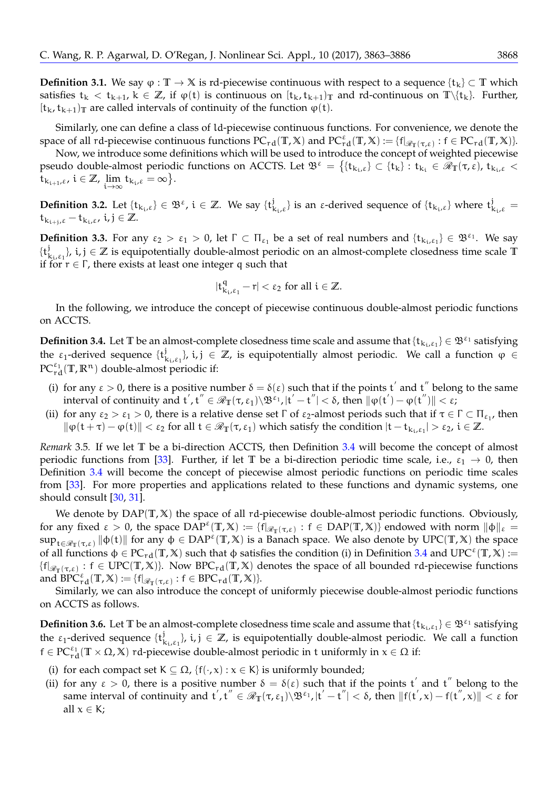**Definition 3.1.** We say  $\varphi$  : **T** → **X** is rd-piecewise continuous with respect to a sequence {t<sub>k</sub>} ⊂ **T** which satisfies  $t_k < t_{k+1}$ ,  $k \in \mathbb{Z}$ , if  $\varphi(t)$  is continuous on  $[t_k, t_{k+1}]$  and rd-continuous on  $\mathbb{T}\setminus\{t_k\}$ . Further,  $[t_k, t_{k+1}]$ **T** are called intervals of continuity of the function  $\varphi(t)$ .

Similarly, one can define a class of ld-piecewise continuous functions. For convenience, we denote the space of all rd-piecewise continuous functions  $PC_{rd}(T,X)$  and  $PC_{rd}^{\varepsilon}(T,X) := \{f|_{\mathscr{R}_T(\tau,\varepsilon)} : f \in PC_{rd}(T,X)\}.$ 

Now, we introduce some definitions which will be used to introduce the concept of weighted piecewise pseudo double-almost periodic functions on ACCTS. Let  $\mathfrak{B}^{\varepsilon} = \{ \{\mathfrak{t}_{\mathbf{k_i},\varepsilon}\} \subset \{\mathfrak{t_k}\} : \mathfrak{t}_{\mathbf{k_i}} \in \tilde{\mathscr{R}}_{\mathbb{T}}(\tau,\tilde{\varepsilon}), \, \mathfrak{t}_{\mathbf{k_i},\varepsilon} < \tilde{\varepsilon}$ tki+1,ε, i ∈ **Z**, lim  $\lim_{i\to\infty} t_{k_i,\varepsilon} = \infty$ .

**Definition 3.2.** Let  $\{t_{k_i,\varepsilon}\}\in \mathfrak{B}^{\varepsilon}$ ,  $i \in \mathbb{Z}$ . We say  $\{t_{k_i}^j\}$  $\mathcal{F}_{k_i, \varepsilon}^j$  is an ε-derived sequence of  $\{t_{k_i, \varepsilon}\}$  where  $t_{k_i, \varepsilon}^j =$  $\mathsf{t}_{\mathsf{k}_{\mathfrak{i}+\mathfrak{j}},\varepsilon}-\mathsf{t}_{\mathsf{k}_{\mathfrak{i}},\varepsilon}$ ,  $\mathfrak{i},\mathfrak{j}\in\mathbb{Z}.$ 

**Definition 3.3.** For any  $\varepsilon_2 > \varepsilon_1 > 0$ , let  $\Gamma \subset \Pi_{\varepsilon_1}$  be a set of real numbers and  $\{t_{k_i,\varepsilon_1}\} \in \mathfrak{B}^{\varepsilon_1}$ . We say  $\{\mathfrak{t}^{\,\mathfrak{j}}_{\,\mathfrak{t}}$  $\{k_{i}, \epsilon_{1}\}\$ , i, j  $\in \mathbb{Z}$  is equipotentially double-almost periodic on an almost-complete closedness time scale **T** if for  $r \in \Gamma$ , there exists at least one integer q such that

$$
|t^q_{k_i,\epsilon_1}-r|<\epsilon_2\text{ for all }i\in\mathbb{Z}.
$$

In the following, we introduce the concept of piecewise continuous double-almost periodic functions on ACCTS.

<span id="page-5-0"></span>**Definition 3.4.** Let  $\mathbb{T}$  be an almost-complete closedness time scale and assume that  $\{t_{k_i,\varepsilon_1}\}\in \mathfrak{B}^{\varepsilon_1}$  satisfying the  $\varepsilon_1$ -derived sequence  $\{t_k^j\}$  $\{k_{i}, \epsilon_{1}\}\$ , i, j  $\in \mathbb{Z}$ , is equipotentially almost periodic. We call a function  $\varphi \in \mathbb{Z}$  $PC_{rd}^{\epsilon_1}(\mathbb{T}, \mathbb{R}^n)$  double-almost periodic if:

- (i) for any  $\varepsilon > 0$ , there is a positive number  $\delta = \delta(\varepsilon)$  such that if the points t' and t'' belong to the same interval of continuity and  $t'$ ,  $t'' \in \mathscr{R}_{\mathbb{T}}(\tau,\epsilon_1) \setminus \mathfrak{B}^{\epsilon_1}$ ,  $|t'-t''| < \delta$ , then  $\|\varphi(t') - \varphi(t'')\| < \epsilon$ ;
- (ii) for any  $\varepsilon_2 > \varepsilon_1 > 0$ , there is a relative dense set  $\Gamma$  of  $\varepsilon_2$ -almost periods such that if  $\tau \in \Gamma \subset \Pi_{\varepsilon_1}$ , then  $\|\varphi(t+\tau) - \varphi(t)\| < \varepsilon_2$  for all  $t \in \mathcal{R}_\mathbb{T}(\tau, \varepsilon_1)$  which satisfy the condition  $|t - t_{k_i, \varepsilon_1}| > \varepsilon_2$ ,  $i \in \mathbb{Z}$ .

<span id="page-5-1"></span>*Remark* 3.5*.* If we let **T** be a bi-direction ACCTS, then Definition [3.4](#page-5-0) will become the concept of almost periodic functions from [\[33\]](#page-23-3). Further, if let **T** be a bi-direction periodic time scale, i.e.,  $\varepsilon_1 \rightarrow 0$ , then Definition [3.4](#page-5-0) will become the concept of piecewise almost periodic functions on periodic time scales from [\[33\]](#page-23-3). For more properties and applications related to these functions and dynamic systems, one should consult [\[30,](#page-23-18) [31\]](#page-23-20).

We denote by DAP(**T**, **X**) the space of all rd-piecewise double-almost periodic functions. Obviously, for any fixed  $\varepsilon > 0$ , the space  $\text{DAP}^{\varepsilon}(\mathbb{T}, \mathbb{X}) := \{f|_{\mathscr{R}_{\mathbb{T}}(\tau,\varepsilon)} : f \in \text{DAP}(\mathbb{T}, \mathbb{X})\}$  endowed with norm  $\|\varphi\|_{\varepsilon} =$  $\sup_{t\in\mathscr{R}_{T}(\tau,\varepsilon)}\|\phi(t)\|$  for any  $\phi\in\mathrm{DAP}^{\varepsilon}(\mathbb{T},\mathbb{X})$  is a Banach space. We also denote by  $\mathrm{UPC}(\mathbb{T},\mathbb{X})$  the space of all functions  $\phi \in PC_{rd}(\mathbb{T}, \mathbb{X})$  such that  $\phi$  satisfies the condition (i) in Definition [3.4](#page-5-0) and UPC<sup> $\epsilon$ </sup>( $\mathbb{T}, \mathbb{X}$ ) :=  ${f|_{\mathscr{R}_{T}(\tau,\varepsilon)} : f \in \text{UPC}(\mathbb{T},\mathbb{X})}$ . Now BPC<sub>rd</sub>( $\mathbb{T},\mathbb{X}$ ) denotes the space of all bounded rd-piecewise functions and  $\overline{BPC}^{\epsilon}_{rd}(\mathbb{T}, \mathbb{X}) := \{f|_{\mathscr{R}_{\mathbb{T}}(\tau, \epsilon)} : f \in BPC_{rd}(\mathbb{T}, \mathbb{X})\}.$ 

Similarly, we can also introduce the concept of uniformly piecewise double-almost periodic functions on ACCTS as follows.

**Definition 3.6.** Let  $\mathbb{T}$  be an almost-complete closedness time scale and assume that  $\{t_{k_i,\varepsilon_1}\}\in \mathfrak{B}^{\varepsilon_1}$  satisfying the  $\varepsilon_1$ -derived sequence  $\{t^j_k\}$  $\{k_{i}, \epsilon_{1}\}\$ ,  $i, j \in \mathbb{Z}$ , is equipotentially double-almost periodic. We call a function  $f \in PC_{rd}^{\epsilon_1}(\mathbb{T} \times \Omega, \mathbb{X})$  rd-piecewise double-almost periodic in t uniformly in  $x \in \Omega$  if:

- (i) for each compact set  $K \subseteq \Omega$ ,  $\{f(\cdot,x) : x \in K\}$  is uniformly bounded;
- (ii) for any  $\varepsilon > 0$ , there is a positive number  $\delta = \delta(\varepsilon)$  such that if the points t' and t'' belong to the same interval of continuity and  $t', t'' \in \mathscr{R}_{\mathbb{T}}(\tau, \epsilon_1) \setminus \mathfrak{B}^{\epsilon_1}, |t'-t''| < \delta$ , then  $||f(t', x) - f(t'', x)|| < \epsilon$  for all  $x \in K$ ;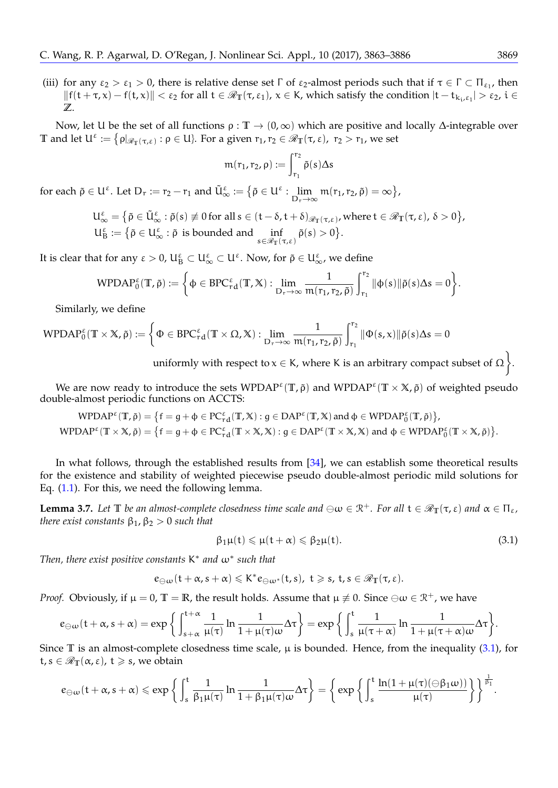(iii) for any  $\varepsilon_2 > \varepsilon_1 > 0$ , there is relative dense set  $\Gamma$  of  $\varepsilon_2$ -almost periods such that if  $\tau \in \Gamma \subset \Pi_{\varepsilon_1}$ , then  $||f(t + \tau, x) - f(t, x)|| < \varepsilon_2$  for all  $t \in \mathcal{R}_T(\tau, \varepsilon_1)$ ,  $x \in K$ , which satisfy the condition  $|t - t_{k_i, \varepsilon_1}| > \varepsilon_2$ ,  $i \in$ **Z**.

Now, let U be the set of all functions  $\rho : \mathbb{T} \to (0,\infty)$  which are positive and locally  $\Delta$ -integrable over **T** and let  $U^{\varepsilon} := \{ \rho|_{\mathscr{R}_{\mathbb{T}}(\tau,\varepsilon)} : \rho \in U \}$ . For a given  $r_1, r_2 \in \mathscr{R}_{\mathbb{T}}(\tau,\varepsilon)$ ,  $r_2 > r_1$ , we set

<span id="page-6-0"></span>
$$
\mathfrak{m}(r_1,r_2,\rho):=\int_{r_1}^{r_2}\tilde{\rho}(s)\Delta s
$$

for each  $\tilde{\rho} \in U^{\varepsilon}$ . Let  $D_r := r_2 - r_1$  and  $\tilde{U}^{\varepsilon}_{\infty} := \big\{ \tilde{\rho} \in U^{\varepsilon} : \lim_{D_r \to \infty}$  $\lim_{D_r \to \infty} \mathfrak{m}(r_1, r_2, \tilde{\rho}) = \infty$ ,

$$
\begin{aligned} U_{\infty}^{\epsilon} &= \big\{ \tilde{\rho} \in \tilde{U}_{\infty}^{\epsilon} : \tilde{\rho}(s) \not\equiv 0 \, \text{for all} \, s \in (t-\delta, t+\delta)_{\mathscr{R}_{T}(\tau, \epsilon)}, \text{where} \, t \in \mathscr{R}_{T}(\tau, \epsilon), \, \delta > 0 \big\}, \\ U_{B}^{\epsilon} &:= \big\{ \tilde{\rho} \in U_{\infty}^{\epsilon} : \tilde{\rho} \, \text{ is bounded and} \inf_{s \in \mathscr{R}_{T}(\tau, \epsilon)} \tilde{\rho}(s) > 0 \big\}. \end{aligned}
$$

It is clear that for any  $\varepsilon > 0$ ,  $U_B^{\varepsilon} \subset U_{\infty}^{\varepsilon} \subset U^{\varepsilon}$ . Now, for  $\tilde{\rho} \in U_{\infty}^{\varepsilon}$ , we define

$$
\text{WPDAP}^\epsilon_0(\mathbb{T},\tilde{\rho}) := \bigg\{ \varphi \in \text{BPC}^\epsilon_{rd}(\mathbb{T},\mathbb{X}): \lim_{D_r \to \infty} \frac{1}{m(r_1,r_2,\tilde{\rho})} \int_{r_1}^{r_2} \| \varphi(s) \| \tilde{\rho}(s) \Delta s = 0 \bigg\}.
$$

Similarly, we define

$$
\text{WPDAP}^\epsilon_0(\mathbb{T}\times\mathbb{X},\tilde{\rho}) := \bigg\{ \Phi \in \text{BPC}^\epsilon_{rd}(\mathbb{T}\times\Omega,\mathbb{X}): \lim_{D_r\to\infty} \frac{1}{m(r_1,r_2,\tilde{\rho})} \int_{r_1}^{r_2} \| \Phi(s,x) \| \tilde{\rho}(s) \Delta s = 0
$$

uniformly with respect to  $x \in K$ , where K is an arbitrary compact subset of  $\Omega$  $\lambda$ .

We are now ready to introduce the sets WPDAP<sup>ε</sup>(T,  $\tilde{\rho}$ ) and WPDAP<sup>ε</sup>(T × X,  $\tilde{\rho}$ ) of weighted pseudo double-almost periodic functions on ACCTS:

$$
\text{WPDAP}^{\varepsilon}(\mathbb{T}, \tilde{\rho}) = \left\{ f = g + \varphi \in PC_{rd}^{\varepsilon}(\mathbb{T}, \mathbb{X}) : g \in DAP^{\varepsilon}(\mathbb{T}, \mathbb{X}) \text{ and } \varphi \in \text{WPDAP}^{\varepsilon}(\mathbb{T}, \tilde{\rho}) \right\},
$$
  

$$
\text{WPDAP}^{\varepsilon}(\mathbb{T} \times \mathbb{X}, \tilde{\rho}) = \left\{ f = g + \varphi \in PC_{rd}^{\varepsilon}(\mathbb{T} \times \mathbb{X}, \mathbb{X}) : g \in DAP^{\varepsilon}(\mathbb{T} \times \mathbb{X}, \mathbb{X}) \text{ and } \varphi \in \text{WPDAP}^{\varepsilon}(\mathbb{T} \times \mathbb{X}, \tilde{\rho}) \right\}.
$$

In what follows, through the established results from [\[34\]](#page-23-26), we can establish some theoretical results for the existence and stability of weighted piecewise pseudo double-almost periodic mild solutions for Eq.  $(1.1)$ . For this, we need the following lemma.

<span id="page-6-1"></span>**Lemma 3.7.** Let  $\mathbb T$  be an almost-complete closedness time scale and  $\ominus \omega \in \mathbb R^+$ . For all  $t \in \mathscr R_{\mathbb T}(\tau,\epsilon)$  and  $\alpha \in \Pi_\epsilon$ , *there exist constants*  $\beta_1$ ,  $\beta_2 > 0$  *such that* 

$$
\beta_1 \mu(t) \leqslant \mu(t + \alpha) \leqslant \beta_2 \mu(t). \tag{3.1}
$$

*Then, there exist positive constants* K ∗ *and* ω<sup>∗</sup> *such that*

$$
e_{\ominus\omega}(t+\alpha,s+\alpha)\leqslant K^*e_{\ominus\omega^*}(t,s),\ t\geqslant s,\ t,s\in\mathscr{R}_\mathbb{T}(\tau,\epsilon).
$$

*Proof.* Obviously, if  $\mu = 0$ ,  $\mathbb{T} = \mathbb{R}$ , the result holds. Assume that  $\mu \not\equiv 0$ . Since  $\ominus \omega \in \mathbb{R}^+$ , we have

$$
e_{\ominus\omega}(t+\alpha,s+\alpha)=\exp\bigg\{\int_{s+\alpha}^{t+\alpha}\frac{1}{\mu(\tau)}\ln\frac{1}{1+\mu(\tau)\omega}\Delta\tau\bigg\}=\exp\bigg\{\int_{s}^{t}\frac{1}{\mu(\tau+\alpha)}\ln\frac{1}{1+\mu(\tau+\alpha)\omega}\Delta\tau\bigg\}.
$$

Since  $\mathbb T$  is an almost-complete closedness time scale,  $\mu$  is bounded. Hence, from the inequality [\(3.1\)](#page-6-0), for  $t, s \in \mathcal{R}_{\mathbb{T}}(\alpha, \varepsilon), t \geq s$ , we obtain

$$
e_{\ominus\omega}(t+\alpha,s+\alpha)\leqslant \exp\bigg\{\int_s^t\frac{1}{\beta_1\mu(\tau)}\ln\frac{1}{1+\beta_1\mu(\tau)\omega}\Delta\tau\bigg\}=\bigg\{\exp\bigg\{\int_s^t\frac{\ln(1+\mu(\tau)(\ominus\beta_1\omega))}{\mu(\tau)}\bigg\}\bigg\}^{\frac{1}{\beta_1}}.
$$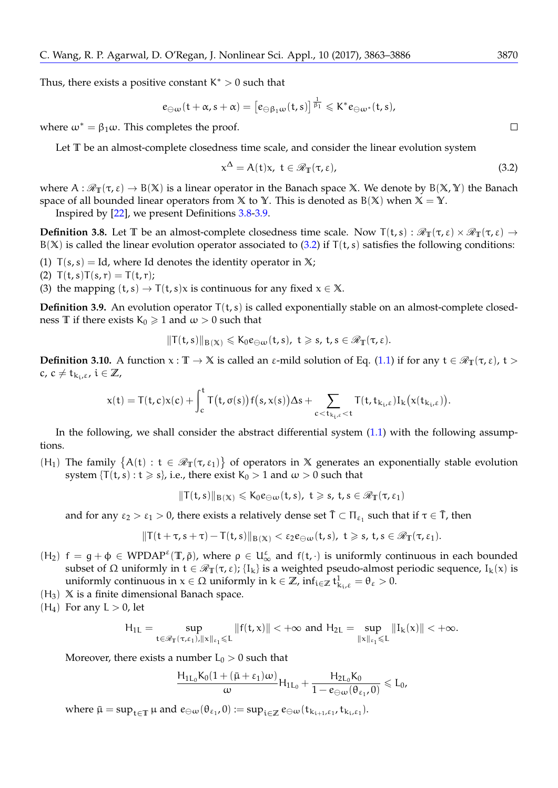Thus, there exists a positive constant  $K^* > 0$  such that

$$
e_{\ominus\omega}(t+\alpha,s+\alpha)=\left[e_{\ominus\beta_1\omega}(t,s)\right]^{\frac{1}{\beta_1}}\leqslant K^*e_{\ominus\omega^*}(t,s),
$$

where  $\omega^* = \beta_1 \omega$ . This completes the proof.

Let **T** be an almost-complete closedness time scale, and consider the linear evolution system

<span id="page-7-2"></span>
$$
x^{\Delta} = A(t)x, \ t \in \mathscr{R}_{\mathbb{T}}(\tau, \varepsilon), \tag{3.2}
$$

where  $A: \mathcal{R}_{\mathbb{T}}(\tau, \varepsilon) \to B(X)$  is a linear operator in the Banach space X. We denote by  $B(X, Y)$  the Banach space of all bounded linear operators from  $X$  to  $Y$ . This is denoted as  $B(X)$  when  $X = Y$ . Inspired by [\[22\]](#page-23-27), we present Definitions [3.8](#page-7-0)[-3.9.](#page-7-1)

<span id="page-7-0"></span>**Definition 3.8.** Let **T** be an almost-complete closedness time scale. Now  $T(t,s): \mathcal{R}_T(\tau,\epsilon) \times \mathcal{R}_T(\tau,\epsilon) \rightarrow$  $B(X)$  is called the linear evolution operator associated to [\(3.2\)](#page-7-2) if  $T(t, s)$  satisfies the following conditions:

(1)  $T(s, s) = Id$ , where Id denotes the identity operator in X;

(2)  $T(t, s)T(s, r) = T(t, r);$ 

(3) the mapping  $(t, s) \rightarrow T(t, s)x$  is continuous for any fixed  $x \in X$ .

<span id="page-7-1"></span>**Definition 3.9.** An evolution operator  $T(t, s)$  is called exponentially stable on an almost-complete closedness **T** if there exists  $K_0 \ge 1$  and  $\omega > 0$  such that

 $\|T(t, s)\|_{B(\mathbb{X})} \leqslant K_0 e_{\ominus \omega}(t, s), t \geqslant s, t, s \in \mathcal{R}_T(\tau, \varepsilon).$ 

**Definition 3.10.** A function  $x : \mathbb{T} \to \mathbb{X}$  is called an  $\varepsilon$ -mild solution of Eq. [\(1.1\)](#page-1-0) if for any  $t \in \mathcal{R}_{\mathbb{T}}(\tau, \varepsilon)$ ,  $t >$ c,  $c \neq t_{k_i, \varepsilon}$ ,  $i \in \mathbb{Z}$ ,

$$
x(t) = T(t,c)x(c) + \int_c^t T(t,\sigma(s))f(s,x(s))\Delta s + \sum_{c < t_{k_i,\epsilon} < t} T(t,t_{k_i,\epsilon})I_k(x(t_{k_i,\epsilon})).
$$

In the following, we shall consider the abstract differential system [\(1.1\)](#page-1-0) with the following assumptions.

(H<sub>1</sub>) The family  $\{A(t): t \in \mathcal{R}_{\mathbb{T}}(\tau,\epsilon_1)\}$  of operators in X generates an exponentially stable evolution system  $\{T(t, s) : t \geq s\}$ , i.e., there exist  $K_0 > 1$  and  $\omega > 0$  such that

$$
\|T(t,s)\|_{B(\mathbb{X})}\leqslant K_0e_{\ominus\omega}(t,s),\,\,t\geqslant s,\,t,s\in\mathscr{R}_\mathbb{T}(\tau,\epsilon_1)
$$

and for any  $\varepsilon_2 > \varepsilon_1 > 0$ , there exists a relatively dense set  $\overline{\mathsf{T}} \subset \Pi_{\varepsilon_1}$  such that if  $\tau \in \overline{\mathsf{T}}$ , then

$$
\|T(t+\tau,s+\tau)-T(t,s)\|_{B(\mathbb{X})}<\epsilon_2e_{\ominus\omega}(t,s),\,\,t\geqslant s,\,t,s\in\mathscr{R}_\mathbb{T}(\tau,\epsilon_1).
$$

- (H<sub>2</sub>)  $f = g + \phi \in WPDAP^{\epsilon}(T, \tilde{\rho})$ , where  $\rho \in U_{\infty}^{\epsilon}$  and  $f(t, \cdot)$  is uniformly continuous in each bounded subset of Ω uniformly in t ∈  $\mathcal{R}_T(\tau,\varepsilon)$ ; {I<sub>k</sub>} is a weighted pseudo-almost periodic sequence, I<sub>k</sub>(x) is uniformly continuous in  $x \in \Omega$  uniformly in  $k \in \mathbb{Z}$ ,  $\inf_{i \in \mathbb{Z}} t^1_{k_i, \varepsilon} = \theta_{\varepsilon} > 0$ .
- (H3) **X** is a finite dimensional Banach space.

 $(H_4)$  For any  $L > 0$ , let

$$
H_{1L}=\sup_{\mathbf{t}\in \mathscr{R}_T(\tau,\epsilon_1),\|\mathbf{x}\|_{\epsilon_1}\leqslant L}\|\mathsf{f}(\mathbf{t},\mathbf{x})\|<+\infty\text{ and }H_{2L}=\sup_{\|\mathbf{x}\|_{\epsilon_1}\leqslant L}\|I_k(\mathbf{x})\|<+\infty.
$$

Moreover, there exists a number  $L_0 > 0$  such that

$$
\frac{H_{1L_0}K_0(1+(\bar{\mu}+\epsilon_1)\omega)}{\omega}H_{1L_0}+\frac{H_{2L_0}K_0}{1-e_{\ominus\omega}(\theta_{\epsilon_1},0)}\leqslant L_0,
$$

where  $\bar{\mu} = \sup_{t \in \mathbb{T}} \mu$  and  $e_{\ominus \omega}(\theta_{\varepsilon_1}, 0) := \sup_{i \in \mathbb{Z}} e_{\ominus \omega}(t_{k_{i+1}, \varepsilon_1}, t_{k_i, \varepsilon_1}).$ 

 $\Box$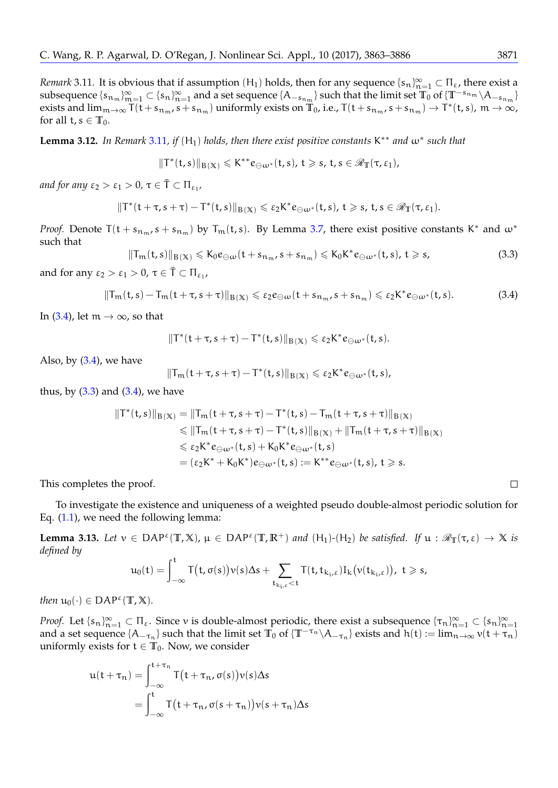<span id="page-8-0"></span>*Remark* 3.11. It is obvious that if assumption  $(H_1)$  holds, then for any sequence  $\{s_n\}_{n=1}^\infty\subset\Pi_\varepsilon$ , there exist a  $\sup$ subsequence  $\{s_{n_m}\}_{m=1}^\infty\subset\{s_n\}_{n=1}^\infty$  and a set sequence  $\{A_{-s_{n_m}}\}$  such that the limit set  $\Bbb T_0$  of  $\{\Bbb T^{-s_{n_m}}\setminus A_{-s_{n_m}}\}$ exists and  $\lim_{m\to\infty} \overline{T}(t+s_{n_m},s+s_{n_m})$  uniformly exists on  $\overline{T}_0$ , i.e.,  $T(t+s_{n_m},s+s_{n_m}) \to T^*(t,s)$ ,  $m\to\infty$ , for all  $t, s \in \mathbb{T}_0$ .

**Lemma 3.12.** In Remark [3.11](#page-8-0), if  $(H_1)$  holds, then there exist positive constants K<sup>\*\*</sup> and  $\omega^*$  such that

$$
\|T^*(t,s)\|_{B(\mathbb{X})}\leqslant K^{**}e_{\ominus\omega^*}(t,s),\,t\geqslant s,\,t,s\in\mathscr{R}_{\mathbb{T}}(\tau,\epsilon_1),
$$

and for any  $\varepsilon_2 > \varepsilon_1 > 0$ ,  $\tau \in \overline{\mathsf{T}} \subset \Pi_{\varepsilon_1}$ ,

$$
\|T^*(t+\tau, s+\tau)-T^*(t,s)\|_{B(\mathbb{X})}\leqslant \epsilon_2 K^*e_{\ominus\omega^*}(t,s),\,t\geqslant s,\,t,s\in\mathscr{R}_\mathbb{T}(\tau,\epsilon_1).
$$

*Proof.* Denote  $T(t + s_{n_m}, s + s_{n_m})$  by  $T_m(t, s)$ . By Lemma [3.7,](#page-6-1) there exist positive constants K<sup>\*</sup> and  $\omega^*$ such that

<span id="page-8-2"></span>
$$
\|T_m(t,s)\|_{B(\mathbb{X})} \leqslant K_0 e_{\ominus \omega}(t+s_{n_m},s+s_{n_m}) \leqslant K_0 K^* e_{\ominus \omega^*}(t,s),\ t\geqslant s,
$$
\n(3.3)

and for any  $\varepsilon_2 > \varepsilon_1 > 0$ ,  $\tau \in \overline{\mathsf{T}} \subset \Pi_{\varepsilon_1}$ ,

<span id="page-8-1"></span>
$$
\|T_m(t,s)-T_m(t+\tau,s+\tau)\|_{B(\mathbb{X})}\leqslant \epsilon_2e_{\ominus\omega}(t+s_{n_m},s+s_{n_m})\leqslant \epsilon_2K^*e_{\ominus\omega^*}(t,s). \hspace{1cm} (3.4)
$$

In [\(3.4\)](#page-8-1), let  $m \to \infty$ , so that

$$
\|T^*(t+\tau,s+\tau)-T^*(t,s)\|_{B(\mathbb{X})}\leqslant \epsilon_2 K^*e_{\ominus\omega^*}(t,s).
$$

Also, by  $(3.4)$ , we have

$$
\|T_m(t+\tau,s+\tau)-T^*(t,s)\|_{B(\mathbb{X})}\leqslant \epsilon_2 K^*e_{\ominus\omega^*}(t,s),
$$

thus, by  $(3.3)$  and  $(3.4)$ , we have

$$
\begin{aligned}\n\|T^*(t,s)\|_{B(\mathbb{X})} &= \|T_m(t+\tau,s+\tau)-T^*(t,s)-T_m(t+\tau,s+\tau)\|_{B(\mathbb{X})} \\
&\le \|T_m(t+\tau,s+\tau)-T^*(t,s)\|_{B(\mathbb{X})}+\|T_m(t+\tau,s+\tau)\|_{B(\mathbb{X})} \\
&\le \epsilon_2 K^* e_{\ominus \omega^*}(t,s)+K_0 K^* e_{\ominus \omega^*}(t,s) \\
&= (\epsilon_2 K^*+K_0 K^*) e_{\ominus \omega^*}(t,s):=K^{**} e_{\ominus \omega^*}(t,s),\, t\ge s.\n\end{aligned}
$$

This completes the proof.

To investigate the existence and uniqueness of a weighted pseudo double-almost periodic solution for Eq.  $(1.1)$ , we need the following lemma:

<span id="page-8-3"></span>**Lemma 3.13.** Let  $v \in \text{DAP}^{\varepsilon}(\mathbb{T}, \mathbb{X})$ ,  $\mu \in \text{DAP}^{\varepsilon}(\mathbb{T}, \mathbb{R}^+)$  and  $(H_1)$ - $(H_2)$  be satisfied. If  $u : \mathscr{R}_{\mathbb{T}}(\tau, \varepsilon) \to \mathbb{X}$  is *defined by*

$$
u_0(t) = \int_{-\infty}^t T\big(t,\sigma(s)\big)\nu(s)\Delta s + \sum_{t_{k_t,\varepsilon} < t} T(t,t_{k_t,\varepsilon})I_k\big(\nu(t_{k_t,\varepsilon})\big), \ t\geqslant s,
$$

 $then \ u_0(\cdot) \in \text{DAP}^{\varepsilon}(\mathbb{T}, \mathbb{X}).$ 

*Proof.* Let  $\{s_n\}_{n=1}^{\infty} \subset \Pi_{\varepsilon}$ . Since v is double-almost periodic, there exist a subsequence  $\{\tau_n\}_{n=1}^{\infty} \subset \{s_n\}_{n=1}^{\infty}$ and a set sequence  $\{A_{-\tau_n}\}$  such that the limit set  $\mathbb{T}_0$  of  $\{\mathbb{T}^{-\tau_n} \setminus A_{-\tau_n}\}$  exists and  $h(t) := \lim_{n \to \infty} v(t + \tau_n)$ uniformly exists for  $t \in \mathbb{T}_0$ . Now, we consider

$$
u(t + \tau_n) = \int_{-\infty}^{t + \tau_n} T(t + \tau_n, \sigma(s)) v(s) \Delta s
$$
  
= 
$$
\int_{-\infty}^{t} T(t + \tau_n, \sigma(s + \tau_n)) v(s + \tau_n) \Delta s
$$

$$
\qquad \qquad \Box
$$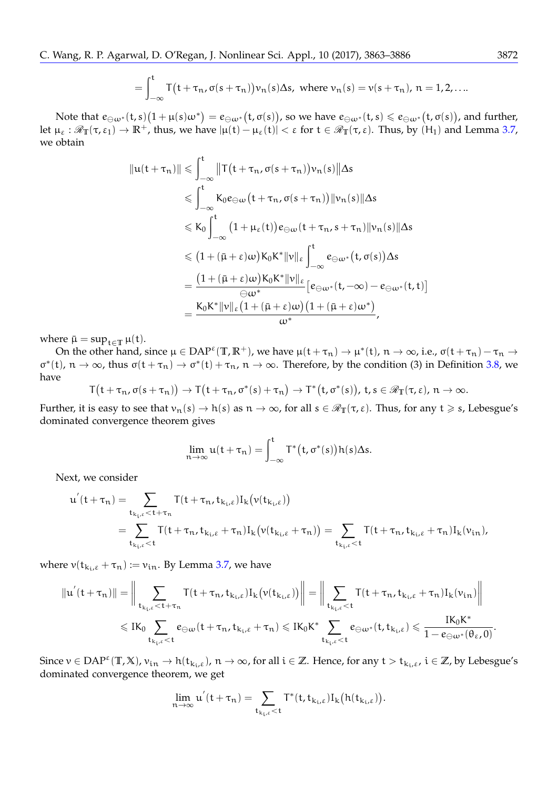$$
= \int_{-\infty}^{t} T(t + \tau_n, \sigma(s + \tau_n)) \nu_n(s) \Delta s, \text{ where } \nu_n(s) = \nu(s + \tau_n), \, n = 1, 2, \ldots
$$

Note that  $e_{\ominus\omega^*}(t,s)(1+\mu(s)\omega^*)=e_{\ominus\omega^*}(t,\sigma(s)),$  so we have  $e_{\ominus\omega^*}(t,s)\leqslant e_{\ominus\omega^*}(t,\sigma(s)),$  and further, let  $\mu_{\varepsilon} : \mathscr{R}_{\mathbb{T}}(\tau, \varepsilon_1) \to \mathbb{R}^+$ , thus, we have  $|\mu(t) - \mu_{\varepsilon}(t)| < \varepsilon$  for  $t \in \mathscr{R}_{\mathbb{T}}(\tau, \varepsilon)$ . Thus, by  $(H_1)$  and Lemma [3.7,](#page-6-1) we obtain

$$
||u(t+\tau_n)|| \leqslant \int_{-\infty}^{t} ||T(t+\tau_n, \sigma(s+\tau_n))\nu_n(s)||\Delta s
$$
  
\n
$$
\leqslant \int_{-\infty}^{t} K_0 e_{\ominus \omega}(t+\tau_n, \sigma(s+\tau_n)) ||\nu_n(s)||\Delta s
$$
  
\n
$$
\leqslant K_0 \int_{-\infty}^{t} (1+\mu_{\varepsilon}(t)) e_{\ominus \omega}(t+\tau_n, s+\tau_n) ||\nu_n(s)||\Delta s
$$
  
\n
$$
\leqslant (1+(\bar{\mu}+\varepsilon)\omega) K_0 K^* ||\nu||_{\varepsilon} \int_{-\infty}^{t} e_{\ominus \omega^*}(t, \sigma(s))\Delta s
$$
  
\n
$$
= \frac{(1+(\bar{\mu}+\varepsilon)\omega) K_0 K^* ||\nu||_{\varepsilon}}{\ominus \omega^*} [e_{\ominus \omega^*}(t,-\infty)-e_{\ominus \omega^*}(t,t)]
$$
  
\n
$$
= \frac{K_0 K^* ||\nu||_{\varepsilon} (1+(\bar{\mu}+\varepsilon)\omega) (1+(\bar{\mu}+\varepsilon)\omega^*)}{\omega^*},
$$

where  $\bar{\mu} = \sup_{t \in \mathbb{T}} \mu(t)$ .

On the other hand, since  $\mu \in DAP^{\epsilon}(T, \mathbb{R}^+)$ , we have  $\mu(t + \tau_n) \to \mu^*(t)$ ,  $n \to \infty$ , i.e.,  $\sigma(t + \tau_n) - \tau_n \to$  $\sigma^*(t)$ ,  $n \to \infty$ , thus  $\sigma(t + \tau_n) \to \sigma^*(t) + \tau_n$ ,  $n \to \infty$ . Therefore, by the condition (3) in Definition [3.8,](#page-7-0) we have

$$
T(t+\tau_n,\sigma(s+\tau_n))\to T(t+\tau_n,\sigma^*(s)+\tau_n)\to T^*(t,\sigma^*(s)),\,t,s\in\mathscr{R}_T(\tau,\epsilon),\,n\to\infty.
$$

Further, it is easy to see that  $v_n(s) \to h(s)$  as  $n \to \infty$ , for all  $s \in \mathcal{R}_T(\tau, \varepsilon)$ . Thus, for any  $t \geq s$ , Lebesgue's dominated convergence theorem gives

$$
\lim_{n\to\infty} u(t+\tau_n)=\int_{-\infty}^t T^*\big(t,\sigma^*(s)\big)h(s)\Delta s.
$$

Next, we consider

$$
u'(t+\tau_n) = \sum_{\substack{t_{k_i,\varepsilon} < t+\tau_n \\ \vdots \\ t_{k_i,\varepsilon} < t}} T(t+\tau_n,t_{k_i,\varepsilon}) I_k(v(t_{k_i,\varepsilon}))
$$
  
= 
$$
\sum_{t_{k_i,\varepsilon} < t} T(t+\tau_n,t_{k_i,\varepsilon}+\tau_n) I_k(v(t_{k_i,\varepsilon}+\tau_n)) = \sum_{t_{k_i,\varepsilon} < t} T(t+\tau_n,t_{k_i,\varepsilon}+\tau_n) I_k(v_{in}),
$$

where  $v(t_{k_i,\varepsilon} + \tau_n) := v_{in}$ . By Lemma [3.7,](#page-6-1) we have

$$
||u^{'}(t+\tau_{n})|| = \Big\|\sum_{t_{k_{i},\epsilon} < t+\tau_{n}} T(t+\tau_{n},t_{k_{i},\epsilon})I_{k}\big(v(t_{k_{i},\epsilon})\big)\Big\| = \Big\|\sum_{t_{k_{i},\epsilon} < t} T(t+\tau_{n},t_{k_{i},\epsilon}+\tau_{n})I_{k}(v_{in})\Big\| \leq K_{0}\sum_{t_{k_{i},\epsilon} < t} e_{\ominus\omega}(t+\tau_{n},t_{k_{i},\epsilon}+\tau_{n}) \leqslant I K_{0}K^{*}\sum_{t_{k_{i},\epsilon} < t} e_{\ominus\omega^{*}}(t,t_{k_{i},\epsilon}) \leqslant \frac{IK_{0}K^{*}}{1-e_{\ominus\omega^{*}}(\theta_{\epsilon},0)}.
$$

Since  $v \in \text{DAP}^{\varepsilon}(\mathbb{T}, \mathbb{X}), v_{in} \to h(t_{k_i, \varepsilon}), n \to \infty$ , for all  $i \in \mathbb{Z}$ . Hence, for any  $t > t_{k_i, \varepsilon}$ ,  $i \in \mathbb{Z}$ , by Lebesgue's denoted a proportion of the summated dominated convergence theorem, we get

$$
\lim_{n\to\infty} u^{'}(t+\tau_{n})=\sum_{t_{k_{i},\epsilon}
$$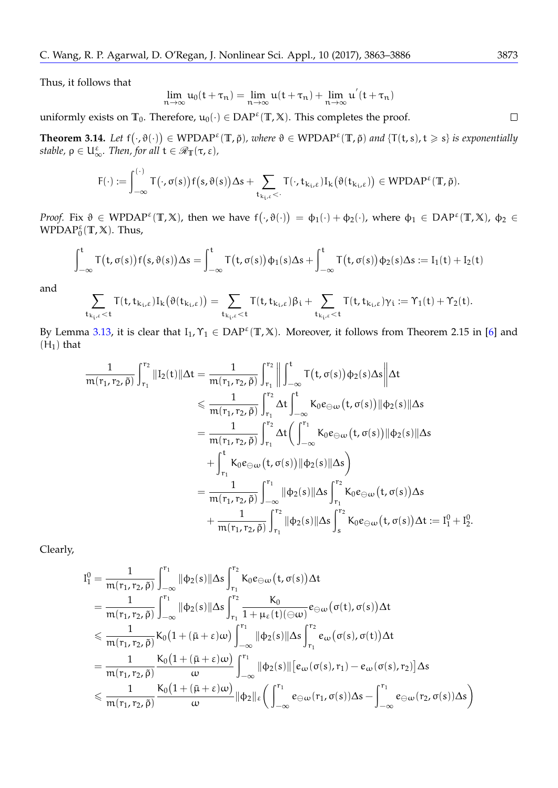Thus, it follows that

$$
\lim_{n\to\infty}u_0(t+\tau_n)=\lim_{n\to\infty}u(t+\tau_n)+\lim_{n\to\infty}u^{'}(t+\tau_n)
$$

uniformly exists on  $\mathbb{T}_0$ . Therefore,  $u_0(\cdot) \in \text{DAP}^{\varepsilon}(\mathbb{T}, \mathbb{X})$ . This completes the proof.

<span id="page-10-0"></span>**Theorem 3.14.** Let  $f(\cdot,\vartheta(\cdot)) \in \text{WPDAP}^{\varepsilon}(\mathbb{T},\tilde{\rho})$ , where  $\vartheta \in \text{WPDAP}^{\varepsilon}(\mathbb{T},\tilde{\rho})$  and  $\{\mathsf{T}(\mathsf{t},s), \mathsf{t} \geqslant s\}$  is exponentially  $stable$ ,  $\rho \in U_{\infty}^{\varepsilon}$ *. Then, for all*  $t \in \mathscr{R}_{\mathbb{T}}(\tau, \varepsilon)$ *,* 

$$
F(\cdot) := \int_{-\infty}^{(\cdot)} T(\cdot, \sigma(s)) f(s, \vartheta(s)) \Delta s + \sum_{\mathbf{t}_{k_i, \varepsilon} < \cdot} T(\cdot, \mathbf{t}_{k_i, \varepsilon}) I_k(\vartheta(\mathbf{t}_{k_i, \varepsilon})) \in WPDAP^{\varepsilon}(\mathbb{T}, \tilde{\rho}).
$$

*Proof.* Fix  $\vartheta \in \text{WPDAP}^{\varepsilon}(\mathbb{T}, \mathbb{X})$ , then we have  $f(\cdot, \vartheta(\cdot)) = \varphi_1(\cdot) + \varphi_2(\cdot)$ , where  $\varphi_1 \in \text{DAP}^{\varepsilon}(\mathbb{T}, \mathbb{X})$ ,  $\varphi_2 \in$  $WPDAP_0^{\varepsilon}(\mathbb{T},\mathbb{X})$ . Thus,

$$
\int_{-\infty}^t T\big(t,\sigma(s)\big) f\big(s,\vartheta(s)\big) \Delta s = \int_{-\infty}^t T\big(t,\sigma(s)\big) \varphi_1(s) \Delta s + \int_{-\infty}^t T\big(t,\sigma(s)\big) \varphi_2(s) \Delta s := I_1(t) + I_2(t)
$$

and

$$
\sum_{t_{k_i,\epsilon} < t} T(t,t_{k_i,\epsilon}) I_k\big(\vartheta(t_{k_i,\epsilon})\big) = \sum_{t_{k_i,\epsilon} < t} T(t,t_{k_i,\epsilon}) \beta_i + \sum_{t_{k_i,\epsilon} < t} T(t,t_{k_i,\epsilon}) \gamma_i := \Upsilon_1(t) + \Upsilon_2(t).
$$

By Lemma [3.13,](#page-8-3) it is clear that  $I_1, \gamma_1 \in \text{DAP}^{\varepsilon}(\mathbb{T}, \mathbb{X})$ . Moreover, it follows from Theorem 2.15 in [\[6\]](#page-22-5) and  $(H_1)$  that

$$
\frac{1}{\mathfrak{m}(r_1,r_2,\tilde{\rho})}\int_{r_1}^{r_2} ||I_2(t)||\Delta t = \frac{1}{\mathfrak{m}(r_1,r_2,\tilde{\rho})}\int_{r_1}^{r_2} \left\| \int_{-\infty}^{t} T(t,\sigma(s))\varphi_2(s)\Delta s \right\| \Delta t
$$
\n
$$
\leq \frac{1}{\mathfrak{m}(r_1,r_2,\tilde{\rho})}\int_{r_1}^{r_2} \Delta t \int_{-\infty}^{t} K_0 e_{\Theta\omega}(t,\sigma(s)) ||\varphi_2(s)||\Delta s
$$
\n
$$
= \frac{1}{\mathfrak{m}(r_1,r_2,\tilde{\rho})}\int_{r_1}^{r_2} \Delta t \left(\int_{-\infty}^{r_1} K_0 e_{\Theta\omega}(t,\sigma(s)) ||\varphi_2(s)||\Delta s\right)
$$
\n
$$
+ \int_{r_1}^{t} K_0 e_{\Theta\omega}(t,\sigma(s)) ||\varphi_2(s)||\Delta s\right)
$$
\n
$$
= \frac{1}{\mathfrak{m}(r_1,r_2,\tilde{\rho})}\int_{-\infty}^{r_1} ||\varphi_2(s)||\Delta s \int_{r_1}^{r_2} K_0 e_{\Theta\omega}(t,\sigma(s))\Delta s
$$
\n
$$
+ \frac{1}{\mathfrak{m}(r_1,r_2,\tilde{\rho})}\int_{r_1}^{r_2} ||\varphi_2(s)||\Delta s \int_{s}^{r_2} K_0 e_{\Theta\omega}(t,\sigma(s))\Delta t := I_1^0 + I_2^0.
$$

Clearly,

$$
\begin{aligned} I_1^0&=\frac{1}{\mathfrak m(r_1,r_2,\tilde{\rho})}\int_{-\infty}^{r_1}\|\varphi_2(s)\|\Delta s\int_{r_1}^{r_2}K_0e_{\ominus\omega}\big(t,\sigma(s)\big)\Delta t\\ &=\frac{1}{\mathfrak m(r_1,r_2,\tilde{\rho})}\int_{-\infty}^{r_1}\|\varphi_2(s)\|\Delta s\int_{r_1}^{r_2}\frac{K_0}{1+\mu_\epsilon(t)(\ominus\omega)}e_{\ominus\omega}\big(\sigma(t),\sigma(s)\big)\Delta t\\ &\leqslant \frac{1}{\mathfrak m(r_1,r_2,\tilde{\rho})}\frac{K_0\big(1+(\bar{\mu}+\epsilon)\omega\big)}{\kappa_0(1+(\bar{\mu}+\epsilon)\omega)}\int_{-\infty}^{r_1}\|\varphi_2(s)\|\Delta s\int_{r_1}^{r_2}e_{\omega}\big(\sigma(s),\sigma(t)\big)\Delta t\\ &=\frac{1}{\mathfrak m(r_1,r_2,\tilde{\rho})}\frac{K_0\big(1+(\bar{\mu}+\epsilon)\omega\big)}{\omega}\int_{-\infty}^{r_1}\|\varphi_2(s)\|\big[e_{\omega}(\sigma(s),r_1)-e_{\omega}(\sigma(s),r_2)\big]\Delta s\\ &\leqslant \frac{1}{\mathfrak m(r_1,r_2,\tilde{\rho})}\frac{K_0\big(1+(\bar{\mu}+\epsilon)\omega\big)}{\omega}\|\varphi_2\|_\epsilon\bigg(\int_{-\infty}^{r_1}e_{\ominus\omega}(r_1,\sigma(s))\Delta s-\int_{-\infty}^{r_1}e_{\ominus\omega}(r_2,\sigma(s))\Delta s\bigg) \end{aligned}
$$

 $\Box$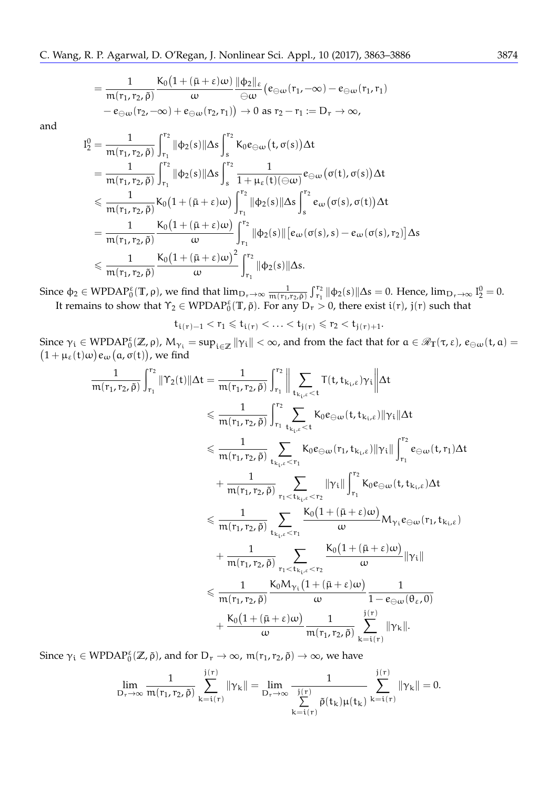$$
=\frac{1}{\mathfrak{m}(r_1,r_2,\tilde{\rho})}\frac{K_0\big(1+(\bar{\mu}+\epsilon)\omega\big)}{\omega}\frac{\|\varphi_2\|_{\epsilon}}{\ominus\omega}\big(e_{\ominus\omega}(r_1,-\infty)-e_{\ominus\omega}(r_1,r_1)\\-\,e_{\ominus\omega}(r_2,-\infty)+e_{\ominus\omega}(r_2,r_1)\big)\rightarrow 0\,\,\text{as}\,\,r_2-r_1:=D_r\rightarrow\infty,
$$

and

$$
\begin{aligned} I^0_2 &= \frac{1}{\mathfrak m(r_1,r_2,\tilde{\rho})} \int_{r_1}^{r_2} \Vert \varphi_2(s) \Vert \Delta s \int_s^{r_2} K_0 e_{\ominus \omega}\big(t,\sigma(s)\big) \Delta t \\ &= \frac{1}{\mathfrak m(r_1,r_2,\tilde{\rho})} \int_{r_1}^{r_2} \Vert \varphi_2(s) \Vert \Delta s \int_s^{r_2} \frac{1}{1+\mu_\epsilon(t)(\ominus \omega)} e_{\ominus \omega}\big(\sigma(t),\sigma(s)\big) \Delta t \\ &\leqslant \frac{1}{\mathfrak m(r_1,r_2,\tilde{\rho})} K_0 \big(1+(\bar{\mu}+\epsilon)\omega\big) \int_{r_1}^{r_2} \Vert \varphi_2(s) \Vert \Delta s \int_s^{r_2} e_{\omega}\big(\sigma(s),\sigma(t)\big) \Delta t \\ &= \frac{1}{\mathfrak m(r_1,r_2,\tilde{\rho})} \frac{K_0 \big(1+(\bar{\mu}+\epsilon)\omega\big)}{\omega} \int_{r_1}^{r_2} \Vert \varphi_2(s) \Vert \big[e_{\omega}(\sigma(s),s)-e_{\omega}(\sigma(s),r_2)\big] \Delta s \\ &\leqslant \frac{1}{\mathfrak m(r_1,r_2,\tilde{\rho})} \frac{K_0 \big(1+(\bar{\mu}+\epsilon)\omega\big)^2}{\omega} \int_{r_1}^{r_2} \Vert \varphi_2(s) \Vert \Delta s. \end{aligned}
$$

Since  $\phi_2 \in \text{WPDAP}_0^{\varepsilon}(\mathbb{T}, \rho)$ , we find that  $\lim_{D_r \to \infty} \frac{1}{m(r_1, r_2, \tilde{\rho})} \int_{r_1}^{r_2} ||\phi_2(s)||\Delta s = 0$ . Hence,  $\lim_{D_r \to \infty} I_2^0 = 0$ . It remains to show that  $\Upsilon_2 \in WPDAP_0^{\epsilon}(\mathbb{T}, \tilde{\rho})$ . For any  $D_r > 0$ , there exist  $i(r)$ ,  $j(r)$  such that

$$
t_{i(r)-1} < r_1 \leqslant t_{i(r)} < \ldots < t_{j(r)} \leqslant r_2 < t_{j(r)+1}.
$$

Since  $\gamma_i \in \text{WPDAP}_0^{\varepsilon}(\mathbb{Z}, \rho)$ ,  $M_{\gamma_i} = \sup_{i \in \mathbb{Z}} ||\gamma_i|| < \infty$ , and from the fact that for  $a \in \mathcal{R}_{\mathbb{T}}(\tau, \varepsilon)$ ,  $e_{\ominus \omega}(t, a) =$ <br> $(1 + \mu_{\varepsilon}(t)\omega)e_{\omega}(a, \sigma(t))$ , we find

$$
\begin{aligned}\n\frac{1}{\mathfrak{m}(r_1,r_2,\tilde{\rho})}\int_{r_1}^{r_2}\|\gamma_2(t)\|\Delta t &=\frac{1}{\mathfrak{m}(r_1,r_2,\tilde{\rho})}\int_{r_1}^{r_2}\Bigg\|\sum_{t_{k_{t},\epsilon}
$$

Since  $\gamma_i \in WPDAP_0^{\varepsilon}(\mathbb{Z}, \tilde{\rho})$ , and for  $D_r \to \infty$ ,  $m(r_1, r_2, \tilde{\rho}) \to \infty$ , we have

$$
\lim_{D_r\to\infty}\frac{1}{\mathfrak{m}(r_1,r_2,\tilde{\rho})}\sum_{k=i(r)}^{j(r)}\|\gamma_k\|=\lim_{D_r\to\infty}\frac{1}{\sum\limits_{k=i(r)}^{j(r)}\tilde{\rho}(t_k)\mu(t_k)}\sum_{k=i(r)}^{j(r)}\|\gamma_k\|=0.
$$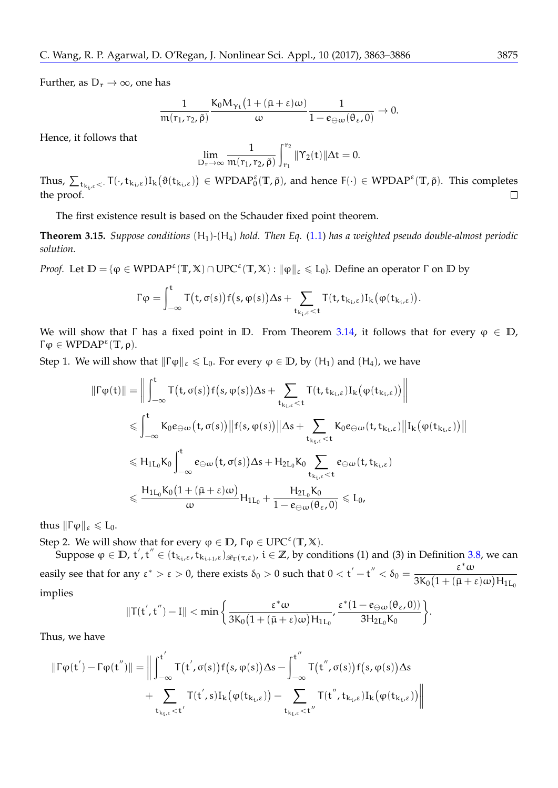Further, as  $D_r \rightarrow \infty$ , one has

$$
\frac{1}{\mathfrak{m}(\mathsf{r}_1,\mathsf{r}_2,\tilde{\rho})}\frac{\mathsf{K}_0\mathsf{M}_{\gamma_1}\big(1+(\bar{\mu}+\epsilon)\omega\big)}{\omega}\frac{1}{1-e_{\ominus\omega}(\theta_\epsilon,0)}\rightarrow 0.
$$

Hence, it follows that

$$
\lim_{D_r\to\infty}\frac{1}{\mathfrak{m}(r_1,r_2,\tilde{\rho})}\int_{r_1}^{r_2}||\Upsilon_2(t)||\Delta t=0.
$$

Thus,  $\sum_{\mathbf{t}_{k_i,\varepsilon} < \cdot} \mathsf{T}(\cdot, \mathbf{t}_{k_i,\varepsilon}) \mathsf{I}_k(\vartheta(\mathbf{t}_{k_i,\varepsilon})) \in \text{WPDAP}^{\varepsilon}(\mathbb{T}, \tilde{\rho})$ , and hence  $\mathsf{F}(\cdot) \in \text{WPDAP}^{\varepsilon}(\mathbb{T}, \tilde{\rho})$ . This completes the proof.  $\Box$ 

The first existence result is based on the Schauder fixed point theorem.

<span id="page-12-0"></span>**Theorem 3.15.** *Suppose conditions* (H1)*-*(H4) *hold. Then Eq.* [\(1.1\)](#page-1-0) *has a weighted pseudo double-almost periodic solution.*

*Proof.* Let  $\mathbb{D} = {\varphi \in WPDAP^{\varepsilon}(\mathbb{T}, \mathbb{X}) \cap \text{UPC}^{\varepsilon}(\mathbb{T}, \mathbb{X}) : ||\varphi||_{\varepsilon} \leq L_0}$ . Define an operator  $\Gamma$  on  $\mathbb{D}$  by

$$
\Gamma \phi = \int_{-\infty}^t T\big(t,\sigma(s)\big) f\big(s,\phi(s)\big) \Delta s + \sum_{t_{k_i,\epsilon} < t} T(t,t_{k_i,\epsilon}) I_k\big(\phi(t_{k_i,\epsilon})\big).
$$

We will show that Γ has a fixed point in D. From Theorem [3.14,](#page-10-0) it follows that for every  $\varphi \in D$ , Γϕ ∈ WPDAP<sup>ε</sup> (**T**, ρ).

Step 1. We will show that  $\|\Gamma \varphi\|_{\varepsilon} \leq L_0$ . For every  $\varphi \in \mathbb{D}$ , by  $(H_1)$  and  $(H_4)$ , we have

$$
\begin{aligned} \|\Gamma \phi(t)\| &= \left\|\int_{-\infty}^t T\big(t,\sigma(s)\big) f\big(s,\phi(s)\big) \Delta s + \sum_{t_{k_{i},\epsilon} < t} T(t,t_{k_{i},\epsilon}) I_k\big(\phi(t_{k_{i},\epsilon})\big) \right\| \\ & \quad \leqslant \int_{-\infty}^t K_0 e_{\ominus \omega}\big(t,\sigma(s)\big) \big\| f(s,\phi(s)\big) \Big\| \Delta s + \sum_{t_{k_{i},\epsilon} < t} K_0 e_{\ominus \omega}(t,t_{k_{i},\epsilon}) \big\| I_k\big(\phi(t_{k_{i},\epsilon})\big) \big\| \\ & \quad \leqslant H_{1L_0} K_0 \int_{-\infty}^t e_{\ominus \omega}\big(t,\sigma(s)\big) \Delta s + H_{2L_0} K_0 \sum_{t_{k_{i},\epsilon} < t} e_{\ominus \omega}(t,t_{k_{i},\epsilon}) \\ & \quad \leqslant \frac{H_{1L_0} K_0 \big(1 + (\bar{\mu} + \epsilon) \omega \big)}{\omega} H_{1L_0} + \frac{H_{2L_0} K_0}{1 - e_{\ominus \omega}(\theta_{\epsilon},0)} \leqslant L_0, \end{aligned}
$$

thus  $\|\Gamma \varphi\|_{\varepsilon} \leqslant L_0$ .

Step 2. We will show that for every  $\varphi \in \mathbb{D}$ ,  $\Gamma \varphi \in \text{UPC}^{\epsilon}(\mathbb{T}, \mathbb{X})$ .

Suppose  $\varphi \in \mathbb{D}$ ,  $t'$ ,  $t'' \in (t_{k_i,\varepsilon},t_{k_{i+1},\varepsilon})_{\mathscr{R}_{\mathbb{T}}(\tau,\varepsilon)}$ ,  $i \in \mathbb{Z}$ , by conditions (1) and (3) in Definition [3.8,](#page-7-0) we can easily see that for any  $\varepsilon^* > \varepsilon > 0$ , there exists  $\delta_0 > 0$  such that  $0 < t' - t'' < \delta_0 = \frac{\varepsilon^* \omega}{2V_0 (1 + (\bar{\varepsilon}) + \bar{\varepsilon})}$  $3K_0(1+(\bar{\mu}+\epsilon)\omega)H_{1L_0}$ implies

$$
\|T(t^{'},t^{''})-I\|<\text{min}\left\{\frac{\epsilon^{*}\omega}{3K_{0}\big(1+(\bar{\mu}+\epsilon)\omega\big)H_{1L_{0}}},\frac{\epsilon^{*}(1-e_{\ominus\omega}(\theta_{\epsilon},0))}{3H_{2L_{0}}K_{0}}\right\}.
$$

Thus, we have

$$
\|\Gamma \phi(t^{'}) - \Gamma \phi(t^{''})\| = \bigg\|\int_{-\infty}^{t^{'}} T\big(t^{'}, \sigma(s)\big)f\big(s, \phi(s)\big) \Delta s - \int_{-\infty}^{t^{''}} T\big(t^{''}, \sigma(s)\big)f\big(s, \phi(s)\big) \Delta s \\ + \sum_{t_{k_{i},\epsilon} < t^{'}} T\big(t^{'}, s\big) I_{k}\big(\phi(t_{k_{i},\epsilon})\big) - \sum_{t_{k_{i},\epsilon} < t^{''}} T\big(t^{''}, t_{k_{i},\epsilon}\big) I_{k}\big(\phi(t_{k_{i},\epsilon})\big)\bigg\|
$$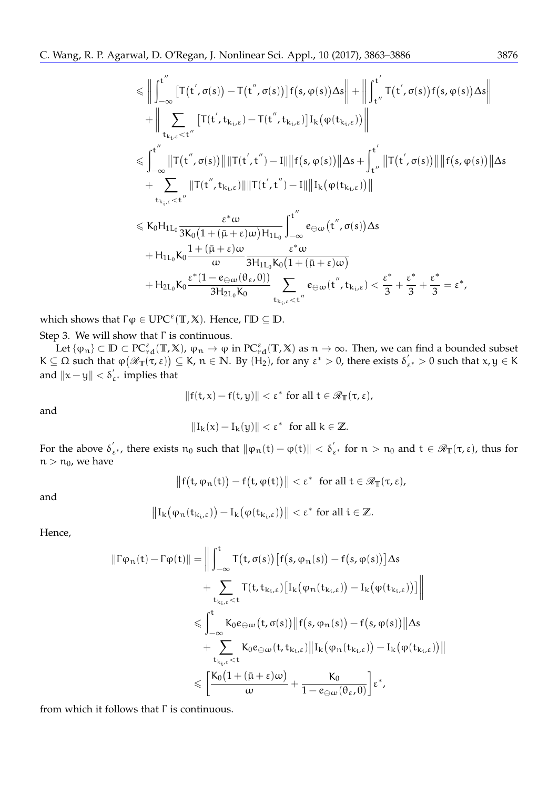$$
\leq \left\| \int_{-\infty}^{t''} \left[T(t',\sigma(s)) - T(t'',\sigma(s))\right] f(s,\phi(s)) \Delta s \right\| + \left\| \int_{t''}^{t'} T(t',\sigma(s)) f(s,\phi(s)) \Delta s \right\| \n+ \left\| \sum_{t_{k_{i},\epsilon} < t''} \left[T(t',t_{k_{i},\epsilon}) - T(t'',t_{k_{i},\epsilon})\right] I_{k}(\phi(t_{k_{i},\epsilon})) \right\| \n\leq \int_{-\infty}^{t''} \left\|T(t'',\sigma(s))\right\| \left\|T(t',t'') - I\right\| \left\|f(s,\phi(s))\right\| \Delta s + \int_{t''}^{t'} \left\|T(t',\sigma(s))\right\| \left\|f(s,\phi(s))\right\| \Delta s \n+ \sum_{t_{k_{i},\epsilon} < t''} \left\|T(t'',t_{k_{i},\epsilon})\right\| \left\|T(t',t'') - I\right\| \left\|I_{k}(\phi(t_{k_{i},\epsilon}))\right\| \n\leq K_{0}H_{1L_{0}} \frac{\epsilon^{*}\omega}{3K_{0}(1 + (\bar{\mu} + \epsilon)\omega)H_{1L_{0}}}\int_{-\infty}^{t''} \epsilon_{\ominus\omega}(t'',\sigma(s)) \Delta s \n+ H_{1L_{0}}K_{0} \frac{1 + (\bar{\mu} + \epsilon)\omega}{\omega} \frac{\epsilon^{*}\omega}{3H_{1L_{0}}K_{0}(1 + (\bar{\mu} + \epsilon)\omega)} \n+ H_{2L_{0}}K_{0} \frac{\epsilon^{*}(1 - \epsilon_{\ominus\omega}(\theta_{\epsilon},0))}{3H_{2L_{0}}K_{0}} \sum_{t_{k_{i},\epsilon} < t''} \epsilon_{\ominus\omega}(t'',t_{k_{i},\epsilon}) < \frac{\epsilon^{*}}{3} + \frac{\epsilon^{*}}{3} + \frac{\epsilon^{*}}{3} = \epsilon^{*},
$$

which shows that Γϕ ∈ UPC<sup>ε</sup> (**T**, **X**). Hence, Γ**D** ⊆ **D**.

Step 3. We will show that Γ is continuous.

Let  $\{\varphi_n\} \subset \mathbb{D} \subset \mathbb{PC}^{\varepsilon}_{\rm rd}(\mathbb{T}, \mathbb{X}), \varphi_n \to \varphi$  in  $\mathbb{PC}^{\varepsilon}_{\rm rd}(\mathbb{T}, \mathbb{X})$  as  $n \to \infty$ . Then, we can find a bounded subset  $K \subseteq \Omega$  such that  $\varphi(\mathscr{R}_{\mathbb{T}}(\tau,\epsilon)) \subseteq K$ ,  $n \in \mathbb{N}$ . By  $(H_2)$ , for any  $\epsilon^* > 0$ , there exists  $\delta_{\epsilon^*} > 0$  such that  $x, y \in K$ and  $\|{\mathsf x} - {\mathsf y}\| < \delta_{\varepsilon^*}'$  implies that

$$
||f(t,x)-f(t,y)|| < \epsilon^* \text{ for all } t \in \mathscr{R}_T(\tau,\epsilon),
$$

and

$$
\|I_k(x)-I_k(y)\|<\epsilon^* \ \ \text{for all}\ k\in\mathbb{Z}.
$$

For the above  $\delta_{\varepsilon^*}'$ , there exists  $\mathfrak{n}_0$  such that  $\|\varphi_\mathfrak{n}(\mathsf{t}) - \varphi(\mathsf{t})\| < \delta_{\varepsilon^*}'$  for  $\mathfrak{n} > \mathfrak{n}_0$  and  $\mathsf{t} \in \mathscr{R}_{\mathbb{T}}(\tau,\varepsilon)$ , thus for  $n > n_0$ , we have

$$
\big\|f\big(t,\phi_n(t)\big)-f\big(t,\phi(t)\big)\big\|<\epsilon^* \ \ \text{for all}\ t\in\mathscr{R}_\mathbb{T}(\tau,\epsilon),
$$

and

$$
\big\|I_k\big(\phi_n(t_{k_i,\epsilon})\big)-I_k\big(\phi(t_{k_i,\epsilon})\big)\big\|<\epsilon^* \text{ for all } i\in\mathbb{Z}.
$$

Hence,

$$
\|\Gamma \varphi_n(t) - \Gamma \varphi(t)\| = \Big\| \int_{-\infty}^t T\big(t, \sigma(s)\big) \big[ f\big(s, \varphi_n(s)\big) - f\big(s, \varphi(s)\big) \big] \Delta s
$$
  
+ 
$$
\sum_{t_{k_i,\varepsilon} < t} T\big(t, t_{k_i,\varepsilon}\big) \big[ I_k\big(\varphi_n(t_{k_i,\varepsilon})\big) - I_k\big(\varphi(t_{k_i,\varepsilon})\big) \big] \Big\|
$$
  

$$
\leqslant \int_{-\infty}^t K_0 e_{\ominus \omega}(t, \sigma(s)) \big\| f\big(s, \varphi_n(s)\big) - f\big(s, \varphi(s)\big) \big\| \Delta s
$$
  
+ 
$$
\sum_{t_{k_i,\varepsilon} < t} K_0 e_{\ominus \omega}(t, t_{k_i,\varepsilon}) \big\| I_k\big(\varphi_n(t_{k_i,\varepsilon})\big) - I_k\big(\varphi(t_{k_i,\varepsilon})\big) \Big\|
$$
  

$$
\leqslant \left[ \frac{K_0\big(1 + (\bar{\mu} + \varepsilon)\omega\big)}{\omega} + \frac{K_0}{1 - e_{\ominus \omega}(\theta_{\varepsilon}, 0)} \right] \varepsilon^*,
$$

from which it follows that Γ is continuous.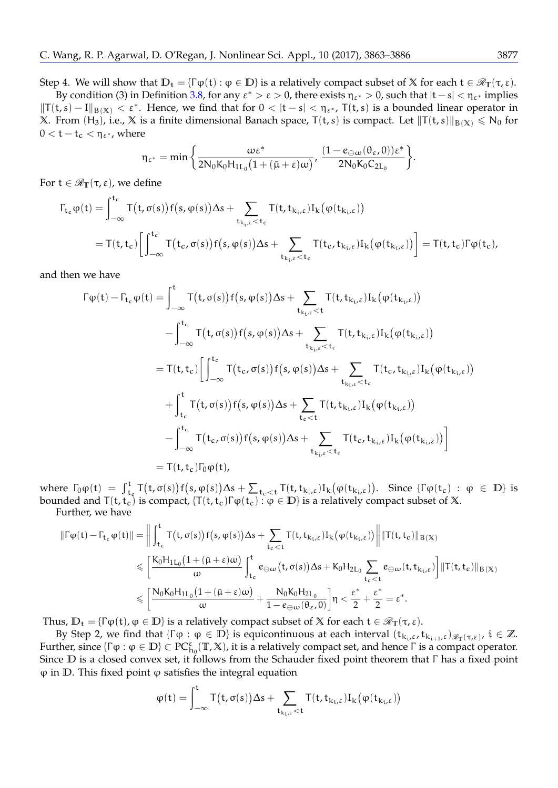By condition (3) in Definition [3.8,](#page-7-0) for any  $\varepsilon^* > \varepsilon > 0$ , there exists  $\eta_{\varepsilon^*} > 0$ , such that  $|t - s| < \eta_{\varepsilon^*}$  implies  $\|\mathsf{T}(\mathsf{t}, s) - \mathsf{I}\|_{\mathsf{B}(\mathbb{X})} < \varepsilon^*$ . Hence, we find that for  $0 < |\mathsf{t} - s| < \eta_{\varepsilon^*}$ ,  $\mathsf{T}(\mathsf{t}, s)$  is a bounded linear operator in **X**. From  $(H_3)$ , i.e., **X** is a finite dimensional Banach space,  $T(t, s)$  is compact. Let  $||T(t, s)||_{B(X)} \le N_0$  for  $0 < t-t_c < \eta_{\varepsilon^*}$ , where

$$
\eta_{\epsilon^*}=\text{min}\, \bigg\{\frac{\omega\epsilon^*}{2N_0K_0H_{1L_0}\big(1+(\bar{\mu}+\epsilon)\omega\big)},\, \frac{(1-e_{\ominus\omega}(\theta_\epsilon,0))\epsilon^*}{2N_0K_0C_{2L_0}}\bigg\}.
$$

For  $t \in \mathcal{R}_T(\tau, \varepsilon)$ , we define

$$
\begin{aligned} \Gamma_{t_c} \phi(t) &= \int_{-\infty}^{t_c} T\big(t, \sigma(s)\big) f\big(s, \phi(s)\big) \Delta s + \sum_{t_{k_i, \epsilon} < t_c} T\big(t, t_{k_i, \epsilon}\big) I_k\big(\phi(t_{k_i, \epsilon})\big) \\ &= T(t, t_c) \bigg[ \int_{-\infty}^{t_c} T\big(t_c, \sigma(s)\big) f\big(s, \phi(s)\big) \Delta s + \sum_{t_{k_i, \epsilon} < t_c} T\big(t_c, t_{k_i, \epsilon}\big) I_k\big(\phi(t_{k_i, \epsilon})\big) \bigg] = T(t, t_c) \Gamma \phi(t_c), \end{aligned}
$$

and then we have

$$
\Gamma \varphi(t) - \Gamma_{t_c} \varphi(t) = \int_{-\infty}^{t} T(t, \sigma(s)) f(s, \varphi(s)) \Delta s + \sum_{t_{k_{i},\epsilon} < t} T(t, t_{k_{i},\epsilon}) I_k(\varphi(t_{k_{i},\epsilon}))
$$
  

$$
- \int_{-\infty}^{t_c} T(t, \sigma(s)) f(s, \varphi(s)) \Delta s + \sum_{t_{k_{i},\epsilon} < t_c} T(t, t_{k_{i},\epsilon}) I_k(\varphi(t_{k_{i},\epsilon}))
$$
  

$$
= T(t, t_c) \Big[ \int_{-\infty}^{t_c} T(t_c, \sigma(s)) f(s, \varphi(s)) \Delta s + \sum_{t_{k_{i},\epsilon} < t_c} T(t_c, t_{k_{i},\epsilon}) I_k(\varphi(t_{k_{i},\epsilon}))
$$
  

$$
+ \int_{t_c}^{t} T(t, \sigma(s)) f(s, \varphi(s)) \Delta s + \sum_{t_c < t} T(t, t_{k_{i},\epsilon}) I_k(\varphi(t_{k_{i},\epsilon}))
$$
  

$$
- \int_{-\infty}^{t_c} T(t_c, \sigma(s)) f(s, \varphi(s)) \Delta s + \sum_{t_{k_{i},\epsilon} < t_c} T(t_c, t_{k_{i},\epsilon}) I_k(\varphi(t_{k_{i},\epsilon})) \Big]
$$
  

$$
= T(t, t_c) \Gamma_0 \varphi(t),
$$

where  $\Gamma_0 \varphi(t) = \int_{t_c}^t T(t, \sigma(s)) f(s, \varphi(s)) \Delta s + \sum_{t_c < t} T(t, t_{k_i, \varepsilon}) I_k(\varphi(t_{k_i, \varepsilon}))$ . Since  $\{\Gamma \varphi(t_c) : \varphi \in \mathbb{D}\}\)$  is bounded and T(t, t<sub>c</sub>) is compact, {T(t, t<sub>c</sub>)Γ $\phi$ (t<sub>c</sub>) :  $\phi \in \mathbb{D}$ } is a relatively compact subset of X. Further, we have

$$
\begin{aligned} \left\|\Gamma \phi(t)-\Gamma_{t_c}\phi(t)\right\| &= \left\|\int_{t_c}^t T\big(t,\sigma(s)\big)f\big(s,\phi(s)\big)\Delta s + \sum_{t_c < t} T(t,t_{k_{\text{t}},\epsilon})I_k\big(\phi(t_{k_{\text{t}},\epsilon})\big)\right\| \|T(t,t_c)\|_{B\left(\mathbb{X}\right)} \\ &\leqslant \left[\frac{K_0 H_{1L_0}\big(1+(\bar{\mu}+\epsilon)\omega\big)}{\omega}\int_{t_c}^t e_{\ominus \omega}\big(t,\sigma(s)\big)\Delta s + K_0 H_{2L_0}\sum_{t_c < t} e_{\ominus \omega}(t,t_{k_{\text{t}},\epsilon})\right] \|T(t,t_c)\|_{B\left(\mathbb{X}\right)} \\ &\leqslant \left[\frac{N_0 K_0 H_{1L_0}\big(1+(\bar{\mu}+\epsilon)\omega\big)}{\omega} + \frac{N_0 K_0 H_{2L_0}}{1-e_{\ominus \omega}(\theta_{\epsilon},0)}\right]\eta < \frac{\epsilon^*}{2} + \frac{\epsilon^*}{2} = \epsilon^*. \end{aligned}
$$

Thus,  $D_t = \{\Gamma \varphi(t), \varphi \in D\}$  is a relatively compact subset of X for each  $t \in \mathcal{R}_T(\tau, \varepsilon)$ .

By Step 2, we find that  $\{\Gamma \varphi : \varphi \in \mathbb{D}\}$  is equicontinuous at each interval  $(t_{k_i,\varepsilon},t_{k_{i+1},\varepsilon})_{\mathscr{R}_{\mathbb{T}}(\tau,\varepsilon)}, i \in \mathbb{Z}$ . Further, since  $\{\Gamma \varphi : \varphi \in \mathbb{D}\} \subset PC^{\varepsilon}_{h_0}(\mathbb{T}, \mathbb{X})$ , it is a relatively compact set, and hence  $\Gamma$  is a compact operator. Since **D** is a closed convex set, it follows from the Schauder fixed point theorem that Γ has a fixed point  $\varphi$  in  $\mathbb{D}$ . This fixed point  $\varphi$  satisfies the integral equation

$$
\phi(t)=\int_{-\infty}^t T\big(t,\sigma(s)\big)\Delta s+\sum_{t_{k_t,\epsilon}
$$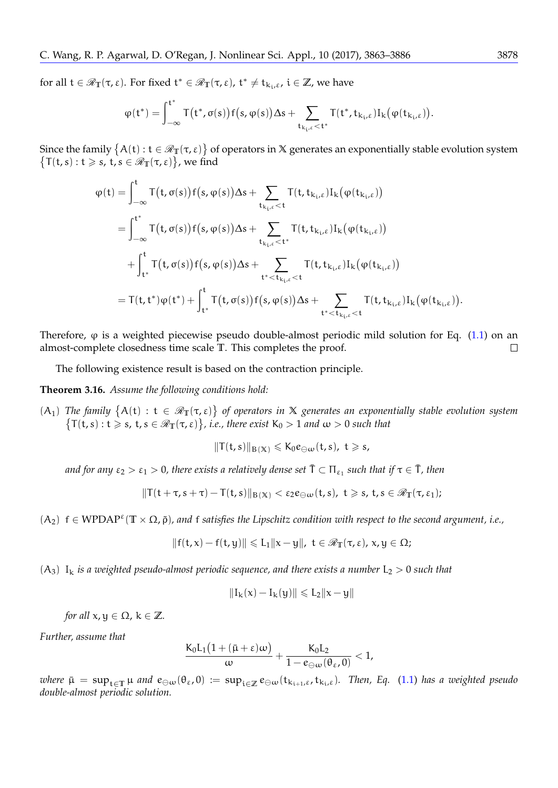for all  $t \in \mathscr{R}_{\mathbb{T}}(\tau,\epsilon)$ . For fixed  $t^* \in \mathscr{R}_{\mathbb{T}}(\tau,\epsilon)$ ,  $t^* \neq t_{k_i,\epsilon}$ ,  $i \in \mathbb{Z}$ , we have

$$
\phi(t^*)=\int_{-\infty}^{t^*}T\big(t^*,\sigma(s)\big)f\big(s,\phi(s)\big)\Delta s+\sum_{t_{k_{t},\epsilon}
$$

Since the family  $\{A(t): t\in \mathscr{R}_{\mathbb{T}}(\tau,\epsilon)\}$  of operators in  $\mathbb X$  generates an exponentially stable evolution system  $\{T(t, s) : t \geq s, t, s \in \mathcal{R}_T(\tau, \varepsilon)\}\)$ , we find

$$
\varphi(t) = \int_{-\infty}^{t} T(t, \sigma(s)) f(s, \varphi(s)) \Delta s + \sum_{t_{k_{i},\epsilon} < t} T(t, t_{k_{i},\epsilon}) I_{k}(\varphi(t_{k_{i},\epsilon}))
$$
\n
$$
= \int_{-\infty}^{t^{*}} T(t, \sigma(s)) f(s, \varphi(s)) \Delta s + \sum_{t_{k_{i},\epsilon} < t^{*}} T(t, t_{k_{i},\epsilon}) I_{k}(\varphi(t_{k_{i},\epsilon}))
$$
\n
$$
+ \int_{t^{*}}^{t} T(t, \sigma(s)) f(s, \varphi(s)) \Delta s + \sum_{t^{*} < t_{k_{i},\epsilon} < t} T(t, t_{k_{i},\epsilon}) I_{k}(\varphi(t_{k_{i},\epsilon}))
$$
\n
$$
= T(t, t^{*}) \varphi(t^{*}) + \int_{t^{*}}^{t} T(t, \sigma(s)) f(s, \varphi(s)) \Delta s + \sum_{t^{*} < t_{k_{i},\epsilon} < t} T(t, t_{k_{i},\epsilon}) I_{k}(\varphi(t_{k_{i},\epsilon})).
$$

Therefore,  $\varphi$  is a weighted piecewise pseudo double-almost periodic mild solution for Eq. [\(1.1\)](#page-1-0) on an almost-complete closedness time scale **T**. This completes the proof.  $\Box$ 

The following existence result is based on the contraction principle.

<span id="page-15-0"></span>**Theorem 3.16.** *Assume the following conditions hold:*

 $(A_1)$  The family  $\{A(t): t \in \mathscr{R}_{\mathbb{T}}(\tau, \varepsilon)\}$  of operators in X generates an exponentially stable evolution system  $\{T(t, s): t \geq s, t, s \in \mathcal{R}_T(\tau, \varepsilon)\}\$ , *i.e., there exist*  $K_0 > 1$  *and*  $\omega > 0$  *such that* 

$$
\|T(t,s)\|_{B(\mathbb{X})}\leqslant K_0e_{\ominus\omega}(t,s),\,\,t\geqslant s,
$$

and for any  $\varepsilon_2>\varepsilon_1>0$ , there exists a relatively dense set  $\bar{\bm{\mathsf{T}}} \subset \Pi_{\varepsilon_1}$  such that if  $\bm{\tau} \in \bar{\bm{\mathsf{T}}}$ , then

$$
\|T(t+\tau,s+\tau)-T(t,s)\|_{B(\mathbb{X})}<\epsilon_2e_{\ominus\omega}(t,s),\,\,t\geqslant s,\,t,s\in\mathscr{R}_\mathbb{T}(\tau,\epsilon_1);
$$

 $(A_2)$   $f \in WPDAP^{\varepsilon}(\mathbb{T} \times \Omega, \tilde{\rho})$ , and f satisfies the Lipschitz condition with respect to the second argument, i.e.,

$$
\|f(t,x)-f(t,y)\|\leqslant L_1\|x-y\|,\,\,t\in \mathscr{R}_\mathbb{T}(\tau,\epsilon),\,x,y\in\Omega;
$$

 $(A_3)$  I<sub>k</sub> is a weighted pseudo-almost periodic sequence, and there exists a number  $L_2 > 0$  such that

$$
\|I_k(x)-I_k(y)\|\leqslant L_2\|x-y\|
$$

*for all*  $x, y \in \Omega$ ,  $k \in \mathbb{Z}$ *.* 

*Further, assume that*

$$
\frac{K_0L_1\big(1+(\bar{\mu}+\epsilon)\omega\big)}{\omega}+\frac{K_0L_2}{1-e_{\ominus\omega}(\theta_\epsilon,0)}<1,
$$

 $w$ here  $\bar{\mu} = \sup_{t\in\mathbb{T}}\mu$  and  $e_{\ominus\omega}(\theta_\varepsilon,0) := \sup_{t\in\mathbb{Z}}e_{\ominus\omega}(t_{k_{i+1},\varepsilon},t_{k_i,\varepsilon})$ . Then, Eq. [\(1.1\)](#page-1-0) has a weighted pseudo *double-almost periodic solution.*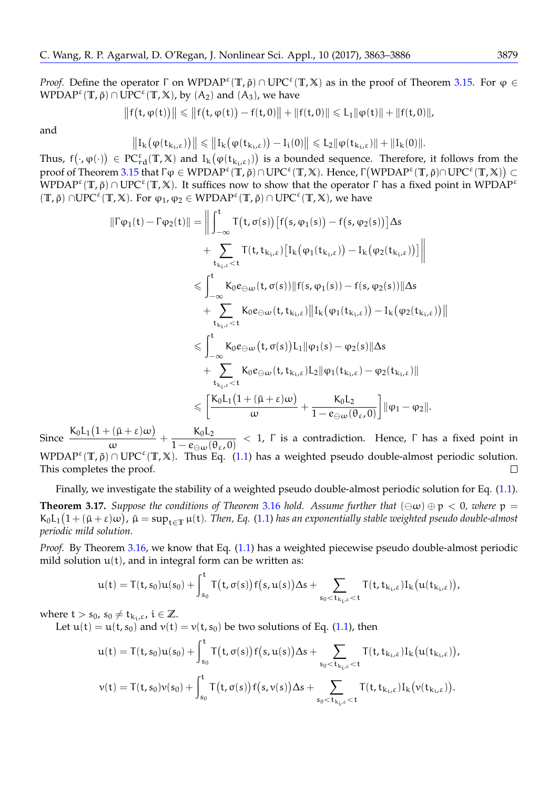*Proof.* Define the operator  $\Gamma$  on WPDAP<sup>ε</sup>( $\mathbb{T}, \tilde{\rho}$ ) ∩ UPC<sup>ε</sup>( $\mathbb{T}, \mathbb{X}$ ) as in the proof of Theorem [3.15.](#page-12-0) For  $\varphi \in$  $WPDAP^{\epsilon}(\mathbb{T}, \tilde{\rho}) \cap \overline{UPC}^{\epsilon}(\mathbb{T}, \mathbb{X})$ , by  $(A_2)$  and  $(A_3)$ , we have

$$
\big\|f\big(t,\phi(t)\big)\big\|\leqslant \big\|f\big(t,\phi(t)\big)-f(t,0)\big\|+\|f(t,0)\|\leqslant L_1\|\phi(t)\|+\|f(t,0)\|,
$$

and

$$
\big\|I_k\big(\phi(t_{k_i,\epsilon})\big)\big\|\leqslant \big\|I_k\big(\phi(t_{k_i,\epsilon})\big)-I_i(0)\big\|\leqslant L_2\|\phi(t_{k_i,\epsilon})\|+\|I_k(0)\|.
$$

Thus,  $f(\cdot,\varphi(\cdot)) \in PC_{rd}^{\varepsilon}(\mathbb{T},\mathbb{X})$  and  $I_k(\varphi(t_{k_i,\varepsilon}))$  is a bounded sequence. Therefore, it follows from the **proof of Theorem [3.15](#page-12-0) that Γ** $\phi \in \text{WPDAP}^{\varepsilon}(\mathbb{T}, \tilde{\rho}) \cap \text{UPC}^{\varepsilon}(\mathbb{T}, \mathbb{X})$ **. Hence, Γ** $(\text{WPDAP}^{\varepsilon}(\mathbb{T}, \tilde{\rho}) \cap \text{UPC}^{\varepsilon}(\mathbb{T}, \mathbb{X}))$  **⊂** WPDAP<sup>ε</sup> (**T**, ˜ρ) ∩ UPC<sup>ε</sup> (**T**, **X**). It suffices now to show that the operator Γ has a fixed point in WPDAP<sup>ε</sup>  $(T, \tilde{\rho}) \cap \text{UPC}^{\epsilon}(T, X)$ . For  $\varphi_1, \varphi_2 \in \text{WPDAP}^{\epsilon}(T, \tilde{\rho}) \cap \text{UPC}^{\epsilon}(T, X)$ , we have

$$
\|\Gamma \varphi_1(t) - \Gamma \varphi_2(t)\| = \Big\| \int_{-\infty}^t T\big(t, \sigma(s)\big) \big[ f\big(s, \varphi_1(s)\big) - f\big(s, \varphi_2(s)\big) \big] \Delta s
$$
  
+ 
$$
\sum_{t_{k_i,\varepsilon} < t} T\big(t, t_{k_i,\varepsilon}\big) \big[ I_k\big(\varphi_1(t_{k_i,\varepsilon})\big) - I_k\big(\varphi_2(t_{k_i,\varepsilon})\big) \big] \Big\|
$$
  

$$
\leqslant \int_{-\infty}^t K_0 e_{\ominus \omega}(t, \sigma(s)) \| f(s, \varphi_1(s)) - f(s, \varphi_2(s)) \| \Delta s
$$
  
+ 
$$
\sum_{t_{k_i,\varepsilon} < t} K_0 e_{\ominus \omega}(t, t_{k_i,\varepsilon}) \| I_k\big(\varphi_1(t_{k_i,\varepsilon})\big) - I_k\big(\varphi_2(t_{k_i,\varepsilon})\big) \Big\|
$$
  

$$
\leqslant \int_{-\infty}^t K_0 e_{\ominus \omega}(t, \sigma(s)) L_1 \|\varphi_1(s) - \varphi_2(s) \| \Delta s
$$
  
+ 
$$
\sum_{t_{k_i,\varepsilon} < t} K_0 e_{\ominus \omega}(t, t_{k_i,\varepsilon}) L_2 \|\varphi_1(t_{k_i,\varepsilon}) - \varphi_2(t_{k_i,\varepsilon}) \|
$$
  

$$
\leqslant \left[ \frac{K_0 L_1 \big(1 + (\bar{\mu} + \varepsilon) \omega \big)}{\omega} + \frac{K_0 L_2}{1 - e_{\ominus \omega}(\theta_{\varepsilon}, 0)} \right] \|\varphi_1 - \varphi_2\|.
$$

Since  $\frac{K_0 L_1 (1 + (\bar{\mu} + \varepsilon) \omega)}{m}$  $\frac{-(\bar{\mu}+\varepsilon)\omega)}{\omega}+\frac{K_0L_2}{1-e_{\ominus\omega}(0)}$  $\frac{1}{1 - e_{\Theta}(\Theta_{\varepsilon}, 0)}$  < 1,  $\Gamma$  is a contradiction. Hence,  $\Gamma$  has a fixed point in WPDAP<sup> $\epsilon$ </sup>(T,  $\tilde{\rho}$ ) ∩ UPC<sup> $\epsilon$ </sup>(T, X). Thus Eq. [\(1.1\)](#page-1-0) has a weighted pseudo double-almost periodic solution. This completes the proof.  $\Box$ 

<span id="page-16-0"></span>Finally, we investigate the stability of a weighted pseudo double-almost periodic solution for Eq. [\(1.1\)](#page-1-0). **Theorem 3.17.** *Suppose the conditions of Theorem [3.16](#page-15-0) hold. Assume further that*  $(\ominus \omega) \oplus p < 0$ *, where*  $p =$  $\mathsf{K}_0\mathsf{L}_1\big(1+(\bar{\mu}+\varepsilon)\omega\big)$ ,  $\bar{\mu}=\sup_{\mathsf{t}\in\mathbb{T}}\mu(\mathsf{t})$ . Then, Eq. [\(1.1\)](#page-1-0) has an exponentially stable weighted pseudo double-almost *periodic mild solution.*

*Proof.* By Theorem [3.16,](#page-15-0) we know that Eq. [\(1.1\)](#page-1-0) has a weighted piecewise pseudo double-almost periodic mild solution  $u(t)$ , and in integral form can be written as:

$$
u(t)=T(t,s_0)u(s_0)+\int_{s_0}^t T\big(t,\sigma(s)\big)f\big(s,u(s)\big)\Delta s+\sum_{s_0
$$

where  $t > s_0$ ,  $s_0 \neq t_{k_i,\varepsilon}$ ,  $i \in \mathbb{Z}$ .

Let  $u(t) = u(t, s_0)$  and  $v(t) = v(t, s_0)$  be two solutions of Eq. [\(1.1\)](#page-1-0), then

$$
u(t)=T(t,s_0)u(s_0)+\int_{s_0}^t T\big(t,\sigma(s)\big)f\big(s,u(s)\big)\Delta s+\sum_{s_0
$$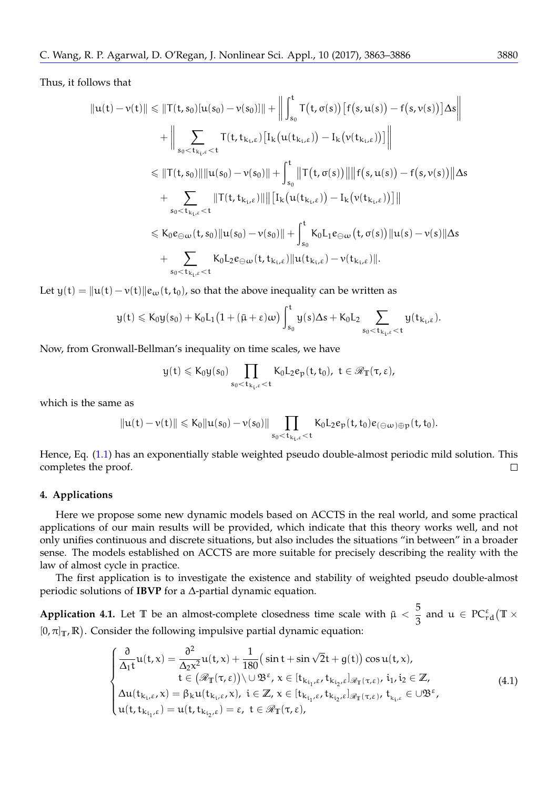Thus, it follows that

$$
||u(t)-v(t)|| \leq ||T(t,s_0)[u(s_0)-v(s_0)]|| + \left\| \int_{s_0}^t T(t,\sigma(s)) [f(s,u(s)) - f(s,v(s))] \Delta s \right\| + \left\| \sum_{s_0 < t_{k_i,\epsilon} < t} T(t,t_{k_i,\epsilon}) [I_k(u(t_{k_i,\epsilon})) - I_k(v(t_{k_i,\epsilon}))] \right\| \leq ||T(t,s_0)|| ||u(s_0)-v(s_0)|| + \int_{s_0}^t ||T(t,\sigma(s))||||f(s,u(s)) - f(s,v(s))|| \Delta s + \sum_{s_0 < t_{k_i,\epsilon} < t} ||T(t,t_{k_i,\epsilon})|| ||[I_k(u(t_{k_i,\epsilon})) - I_k(v(t_{k_i,\epsilon}))]] || < K_0 e_{\ominus \omega}(t,s_0)||u(s_0)-v(s_0)|| + \int_{s_0}^t K_0 L_1 e_{\ominus \omega}(t,\sigma(s)) ||u(s)-v(s)|| \Delta s + \sum_{s_0 < t_{k_i,\epsilon} < t} K_0 L_2 e_{\ominus \omega}(t,t_{k_i,\epsilon}) ||u(t_{k_i,\epsilon}) - v(t_{k_i,\epsilon})||.
$$

Let  $y(t) = ||u(t) - v(t)||e_{\omega}(t, t_0)$ , so that the above inequality can be written as

$$
y(t) \leqslant K_0 y(s_0) + K_0 L_1 \big(1+(\bar\mu+\epsilon)\omega \big) \int_{s_0}^t y(s) \Delta s + K_0 L_2 \sum_{s_0 < t_{k_t,\epsilon} < t} y(t_{k_t,\epsilon}).
$$

Now, from Gronwall-Bellman's inequality on time scales, we have

$$
y(t)\leqslant K_0y(s_0)\prod_{s_0
$$

which is the same as

$$
\|u(t)-\nu(t)\|\leqslant K_0\|u(s_0)-\nu(s_0)\|\prod_{s_0
$$

Hence, Eq. [\(1.1\)](#page-1-0) has an exponentially stable weighted pseudo double-almost periodic mild solution. This completes the proof.  $\Box$ 

# <span id="page-17-0"></span>**4. Applications**

Here we propose some new dynamic models based on ACCTS in the real world, and some practical applications of our main results will be provided, which indicate that this theory works well, and not only unifies continuous and discrete situations, but also includes the situations "in between" in a broader sense. The models established on ACCTS are more suitable for precisely describing the reality with the law of almost cycle in practice.

The first application is to investigate the existence and stability of weighted pseudo double-almost periodic solutions of **IBVP** for a ∆-partial dynamic equation.

**Application 4.1.** Let T be an almost-complete closedness time scale with  $\bar{\mu} < \frac{5}{2}$  $\frac{3}{3}$  and  $\mu \in PC_{rd}^{\varepsilon}(\mathbb{T} \times$  $[0, \pi]$ <sub>T</sub>, R). Consider the following impulsive partial dynamic equation:

<span id="page-17-1"></span>
$$
\begin{cases}\n\frac{\partial}{\partial_{1}t}u(t,x) = \frac{\partial^{2}}{\partial_{2}x^{2}}u(t,x) + \frac{1}{180}(\sin t + \sin \sqrt{2}t + g(t))\cos u(t,x), \\
t \in (\mathcal{R}_{T}(\tau,\epsilon)) \setminus \cup \mathfrak{B}^{\epsilon}, x \in [t_{k_{i_{1}},\epsilon}, t_{k_{i_{2}},\epsilon}]_{\mathcal{R}_{T}(\tau,\epsilon)}, i_{1}, i_{2} \in \mathbb{Z}, \\
\Delta u(t_{k_{i},\epsilon},x) = \beta_{k}u(t_{k_{i},\epsilon},x), i \in \mathbb{Z}, x \in [t_{k_{i_{1}},\epsilon}, t_{k_{i_{2}},\epsilon}]_{\mathcal{R}_{T}(\tau,\epsilon)}, t_{k_{i},\epsilon} \in \cup \mathfrak{B}^{\epsilon}, \\
u(t, t_{k_{i_{1}},\epsilon}) = u(t, t_{k_{i_{2}},\epsilon}) = \epsilon, t \in \mathcal{R}_{T}(\tau,\epsilon),\n\end{cases}
$$
\n(4.1)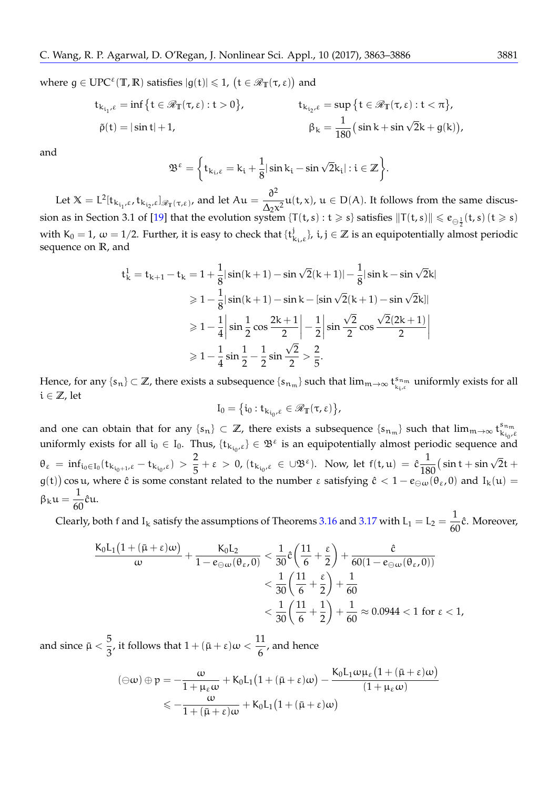where  $g \in \text{UPC}^{\varepsilon}(\mathbb{T}, \mathbb{R})$  satisfies  $|g(t)| \leqslant 1$ ,  $\big(t \in \mathscr{R}_{\mathbb{T}}(\tau, \varepsilon)\big)$  and

$$
t_{k_{i_1},\varepsilon} = \inf \{ t \in \mathcal{R}_{\mathbb{T}}(\tau,\varepsilon) : t > 0 \},
$$
  
\n $t_{k_{i_2},\varepsilon} = \sup \{ t \in \mathcal{R}_{\mathbb{T}}(\tau,\varepsilon) : t < \pi \},$   
\n $\tilde{\rho}(t) = |\sin t| + 1,$   
\n $\beta_k = \frac{1}{180} (\sin k + \sin \sqrt{2}k + g(k)),$ 

and

$$
\mathfrak{B}^{\epsilon} = \bigg\{ t_{k_{i},\epsilon} = k_{i} + \frac{1}{8} |\sin k_{i} - \sin \sqrt{2}k_{i}| : i \in \mathbb{Z} \bigg\}.
$$

Let  $X = L^2[t_{k_{i_1},\epsilon},t_{k_{i_2},\epsilon}]_{\mathscr{R}_{\mathbb{T}}}(\tau,\epsilon)$ , and let  $Au = \frac{\partial^2}{\partial x^2}$  $\frac{1}{\Delta_2 x^2}$ u(t, x), u  $\in$  D(A). It follows from the same discus-sion as in Section 3.1 of [\[19\]](#page-23-28) that the evolution system  $\{T(t,s): t \geq s\}$  satisfies  $||T(t,s)|| \leq e_{\bigoplus_{\frac{1}{2}}}(t,s)(t \geq s)$ with  $K_0 = 1$ ,  $\omega = 1/2$ . Further, it is easy to check that  $\{t^j_k\}$  $\{k_{i}, \varepsilon\}$ , i,  $j \in \mathbb{Z}$  is an equipotentially almost periodic sequence on **R**, and

$$
t_k^1 = t_{k+1} - t_k = 1 + \frac{1}{8} |\sin(k+1) - \sin \sqrt{2}(k+1)| - \frac{1}{8} |\sin k - \sin \sqrt{2}k|
$$
  
\n
$$
\ge 1 - \frac{1}{8} |\sin(k+1) - \sin k - [\sin \sqrt{2}(k+1) - \sin \sqrt{2}k]|
$$
  
\n
$$
\ge 1 - \frac{1}{4} \left| \sin \frac{1}{2} \cos \frac{2k+1}{2} \right| - \frac{1}{2} \left| \sin \frac{\sqrt{2}}{2} \cos \frac{\sqrt{2}(2k+1)}{2} \right|
$$
  
\n
$$
\ge 1 - \frac{1}{4} \sin \frac{1}{2} - \frac{1}{2} \sin \frac{\sqrt{2}}{2} > \frac{2}{5}.
$$

Hence, for any  $\{s_n\} \subset \mathbb{Z}$ , there exists a subsequence  $\{s_{n_m}\}$  such that  $\lim_{m\to\infty} t^{s_{n_m}}_{k_{t,\ell}}$  $\frac{s_{n_m}}{k_{i,\ell}}$  uniformly exists for all i ∈ **Z**, let

$$
I_0=\big\{i_0:t_{k_{i_0},\epsilon}\in\mathscr{R}_\mathbb{T}(\tau,\epsilon)\big\},
$$

and one can obtain that for any  $\{s_n\} \subset \mathbb{Z}$ , there exists a subsequence  $\{s_{n_m}\}$  such that  $\lim_{m\to\infty} t^{s_{n_m}}_{k_{i_0,r}}$ ΄ $k_{i_0}$ ,ε uniformly exists for all  $i_0 \in I_0$ . Thus,  $\{t_{k_{i_0}, \varepsilon}\} \in \mathfrak{B}^{\varepsilon}$  is an equipotentially almost periodic sequence and  $\theta_{\varepsilon} = \textstyle{\inf_{\mathrm{i}_0\in \mathrm{I}_0}(\mathrm{t}_{\mathrm{k}_{\mathrm{i}_0+1},\varepsilon}-\mathrm{t}_{\mathrm{k}_{\mathrm{i}_0},\varepsilon})}\,>\,\frac{2}{5}$  $\frac{2}{5} + \varepsilon > 0$ ,  $(t_{k_{i_0,\varepsilon}} \in \cup \mathfrak{B}^{\varepsilon})$ . Now, let  $f(t, u) = \hat{c} \frac{1}{18}$ 180  $\int \sin t + \sin \sqrt{2}t +$ g(t)) cos u, where  $\hat{c}$  is some constant related to the number  $\varepsilon$  satisfying  $\hat{c} < 1 - e_{\ominus \omega}(\theta_{\varepsilon}, 0)$  and  $I_k(u) =$  $\beta_k u = \frac{1}{60}\hat{c}u.$ 

Clearly, both f and  $I_k$  satisfy the assumptions of Theorems [3.16](#page-15-0) and [3.17](#page-16-0) with  $L_1 = L_2 = \frac{1}{60} \hat{c}$ . Moreover,

$$
\begin{aligned} \frac{K_0 L_1 \big(1+(\bar{\mu}+\epsilon)\omega \big)}{\omega} + \frac{K_0 L_2}{1-e_{\ominus \omega}(\theta_{\epsilon},0)} < \frac{1}{30}\hat{c}\bigg(\frac{11}{6}+\frac{\epsilon}{2}\bigg) + \frac{\hat{c}}{60(1-e_{\ominus \omega}(\theta_{\epsilon},0))} \\ < \frac{1}{30}\bigg(\frac{11}{6}+\frac{\epsilon}{2}\bigg) + \frac{1}{60} \\ < \frac{1}{30}\bigg(\frac{11}{6}+\frac{1}{2}\bigg) + \frac{1}{60} \approx 0.0944 < 1 \; \text{for} \; \epsilon < 1, \end{aligned}
$$

and since  $\bar{\mu} < \frac{5}{2}$  $\frac{5}{3}$ , it follows that  $1 + (\bar{\mu} + \varepsilon)\omega < \frac{11}{6}$  $\frac{1}{6}$ , and hence

$$
\begin{aligned} \left(\ominus\omega\right)\oplus\mathfrak{p}&=-\frac{\omega}{1+\mu_{\epsilon}\omega}+K_{0}L_{1}\big(1+(\bar{\mu}+\epsilon)\omega\big)-\frac{K_{0}L_{1}\omega\mu_{\epsilon}\big(1+(\bar{\mu}+\epsilon)\omega\big)}{(1+\mu_{\epsilon}\omega)}\\ &\leqslant-\frac{\omega}{1+(\bar{\mu}+\epsilon)\omega}+K_{0}L_{1}\big(1+(\bar{\mu}+\epsilon)\omega\big) \end{aligned}
$$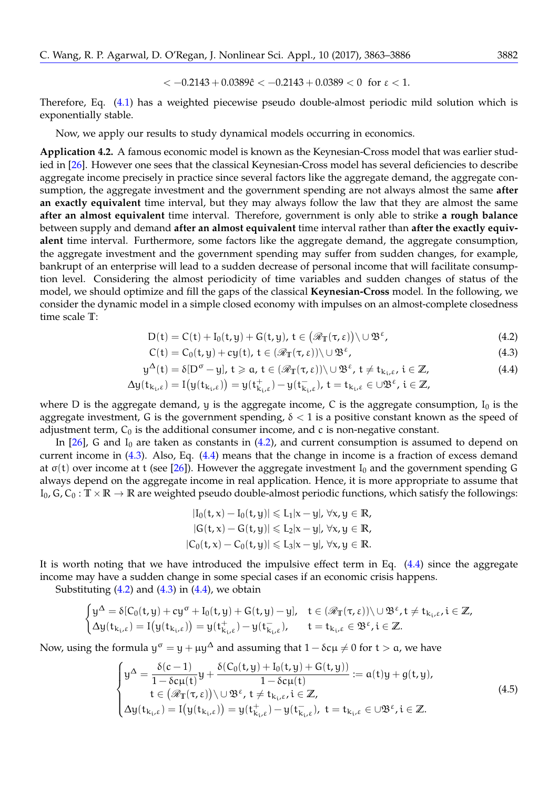Therefore, Eq. [\(4.1\)](#page-17-1) has a weighted piecewise pseudo double-almost periodic mild solution which is exponentially stable.

Now, we apply our results to study dynamical models occurring in economics.

<span id="page-19-4"></span>**Application 4.2.** A famous economic model is known as the Keynesian-Cross model that was earlier studied in [\[26\]](#page-23-29). However one sees that the classical Keynesian-Cross model has several deficiencies to describe aggregate income precisely in practice since several factors like the aggregate demand, the aggregate consumption, the aggregate investment and the government spending are not always almost the same **after an exactly equivalent** time interval, but they may always follow the law that they are almost the same **after an almost equivalent** time interval. Therefore, government is only able to strike **a rough balance** between supply and demand **after an almost equivalent** time interval rather than **after the exactly equivalent** time interval. Furthermore, some factors like the aggregate demand, the aggregate consumption, the aggregate investment and the government spending may suffer from sudden changes, for example, bankrupt of an enterprise will lead to a sudden decrease of personal income that will facilitate consumption level. Considering the almost periodicity of time variables and sudden changes of status of the model, we should optimize and fill the gaps of the classical **Keynesian-Cross** model. In the following, we consider the dynamic model in a simple closed economy with impulses on an almost-complete closedness time scale **T**:

$$
D(t) = C(t) + I_0(t, y) + G(t, y), t \in (\mathcal{R}_T(\tau, \epsilon)) \setminus \cup \mathfrak{B}^{\epsilon}, \tag{4.2}
$$

<span id="page-19-1"></span><span id="page-19-0"></span>
$$
C(t) = C_0(t, y) + cy(t), t \in (\mathscr{R}_{\mathbb{T}}(\tau, \varepsilon)) \setminus \cup \mathfrak{B}^{\varepsilon}, \qquad (4.3)
$$

$$
y^{\Delta}(t) = \delta[D^{\sigma} - y], t \ge a, t \in (\mathscr{R}_{\mathbb{T}}(\tau, \epsilon)) \setminus \cup \mathfrak{B}^{\epsilon}, t \ne t_{k_i, \epsilon}, i \in \mathbb{Z},
$$
\n(4.4)

$$
\Delta y(t_{k_i,\epsilon})=I\big(y(t_{k_i,\epsilon})\big)=y(t_{k_i,\epsilon}^+)-y(t_{k_i,\epsilon}^-),\,t=t_{k_i,\epsilon}\in\cup\mathfrak{B}^\epsilon,\,i\in\mathbb{Z},
$$

where D is the aggregate demand, y is the aggregate income, C is the aggregate consumption,  $I_0$  is the aggregate investment, G is the government spending,  $\delta$  < 1 is a positive constant known as the speed of adjustment term,  $C_0$  is the additional consumer income, and c is non-negative constant.

In [\[26\]](#page-23-29), G and  $I_0$  are taken as constants in [\(4.2\)](#page-19-0), and current consumption is assumed to depend on current income in [\(4.3\)](#page-19-1). Also, Eq. [\(4.4\)](#page-19-2) means that the change in income is a fraction of excess demand at  $\sigma(t)$  over income at t (see [\[26\]](#page-23-29)). However the aggregate investment I<sub>0</sub> and the government spending G always depend on the aggregate income in real application. Hence, it is more appropriate to assume that I<sub>0</sub>, G, C<sub>0</sub> :  $\mathbb{T} \times \mathbb{R} \to \mathbb{R}$  are weighted pseudo double-almost periodic functions, which satisfy the followings:

<span id="page-19-2"></span>
$$
\begin{aligned} |I_0(t,x)-I_0(t,y)|&\leqslant L_1|x-y|,\,\forall x,y\in\mathbb{R},\\ |G(t,x)-G(t,y)|&\leqslant L_2|x-y|,\,\forall x,y\in\mathbb{R},\\ |C_0(t,x)-C_0(t,y)|&\leqslant L_3|x-y|,\,\forall x,y\in\mathbb{R}. \end{aligned}
$$

It is worth noting that we have introduced the impulsive effect term in Eq. [\(4.4\)](#page-19-2) since the aggregate income may have a sudden change in some special cases if an economic crisis happens.

Substituting  $(4.2)$  and  $(4.3)$  in  $(4.4)$ , we obtain

$$
\begin{cases} y^{\Delta}=\delta[C_0(t,y)+cy^{\sigma}+I_0(t,y)+G(t,y)-y], & t\in (\mathscr{R}_{\mathbb{T}}(\tau,\epsilon))\setminus \cup \mathfrak{B}^{\epsilon}, t\neq t_{k_i,\epsilon}, i\in \mathbb{Z},\\ \Delta y(t_{k_i,\epsilon})=I\big(y(t_{k_i,\epsilon})\big)=y(t_{k_i,\epsilon}^+)-y(t_{k_i,\epsilon}^-), \qquad t=t_{k_i,\epsilon}\in \mathfrak{B}^{\epsilon}, i\in \mathbb{Z}. \end{cases}
$$

Now, using the formula  $y^{\sigma} = y + \mu y^{\Delta}$  and assuming that  $1 - \delta c \mu \neq 0$  for  $t > a$ , we have

<span id="page-19-3"></span>
$$
\begin{cases}\ny^{\Delta} = \frac{\delta(c-1)}{1 - \delta c \mu(t)} y + \frac{\delta(C_0(t, y) + I_0(t, y) + G(t, y))}{1 - \delta c \mu(t)} := a(t)y + g(t, y), \\
t \in (\mathscr{R}_{\mathbb{T}}(\tau, \varepsilon)) \setminus \cup \mathfrak{B}^{\varepsilon}, \ t \neq t_{k_i, \varepsilon}, i \in \mathbb{Z}, \\
\Delta y(t_{k_i, \varepsilon}) = I(y(t_{k_i, \varepsilon})) = y(t_{k_i, \varepsilon}^+) - y(t_{k_i, \varepsilon}^-), \ t = t_{k_i, \varepsilon} \in \cup \mathfrak{B}^{\varepsilon}, i \in \mathbb{Z}.\n\end{cases} (4.5)
$$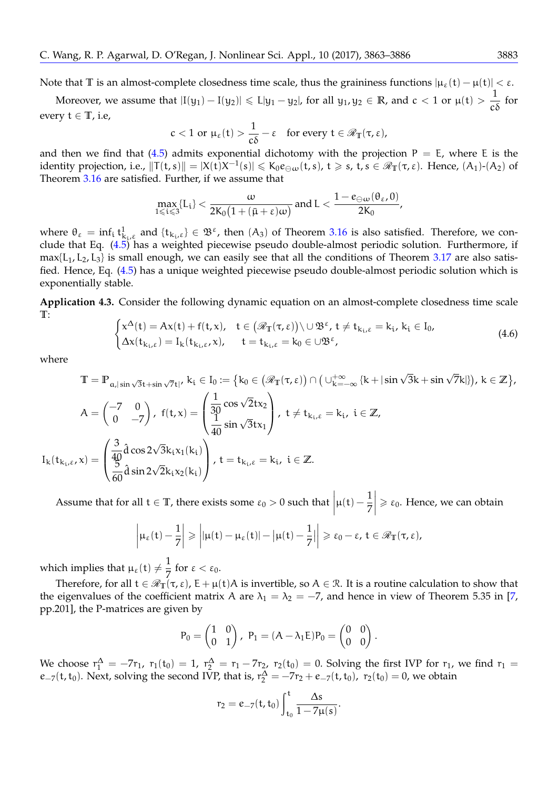Note that **T** is an almost-complete closedness time scale, thus the graininess functions  $|\mu_{\varepsilon}(t) - \mu(t)| < \varepsilon$ .

Moreover, we assume that  $|I(y_1) - I(y_2)| \leqslant L|y_1 - y_2|$ , for all  $y_1, y_2 \in \mathbb{R}$ , and  $c < 1$  or  $\mu(t) > \frac{1}{c\delta}$  for every  $t \in \mathbb{T}$ , i.e,

$$
c < 1 \text{ or } \mu_{\varepsilon}(t) > \frac{1}{c\delta} - \varepsilon \quad \text{for every } t \in \mathcal{R}_{\mathbb{T}}(\tau, \varepsilon),
$$

and then we find that [\(4.5\)](#page-19-3) admits exponential dichotomy with the projection  $P = E$ , where E is the identity projection, i.e.,  $\|\mathsf{T}(\mathsf{t},s)\| = |\mathsf{X}(\mathsf{t})\mathsf{X}^{-1}(s)| \leqslant \mathsf{K}_0 \mathsf{e}_{\ominus \boldsymbol{\omega}}(\mathsf{t},s)$ ,  $\mathsf{t} \geqslant s$ ,  $\mathsf{t},s \in \mathscr{R}_{\mathbb{T}}(\boldsymbol{\tau},\varepsilon)$ . Hence,  $(\mathsf{A}_1)$ - $(\mathsf{A}_2)$  of Theorem [3.16](#page-15-0) are satisfied. Further, if we assume that

$$
\max_{1\leqslant i\leqslant 3}\{L_i\}<\frac{\omega}{2\text{K}_0\big(1+(\bar\mu+\epsilon)\omega\big)}\text{ and }L<\frac{1-e_{\ominus\omega}(\theta_\epsilon,0)}{2\text{K}_0},
$$

where  $\theta_{\varepsilon} = \inf_{t} t^{1}_{k_{i}, \varepsilon}$  and  $\{t_{k_{i}, \varepsilon}\} \in \mathfrak{B}^{\varepsilon}$ , then  $(A_{3})$  of Theorem [3.16](#page-15-0) is also satisfied. Therefore, we conclude that Eq. [\(4.5\)](#page-19-3) has a weighted piecewise pseudo double-almost periodic solution. Furthermore, if  $max{L_1, L_2, L_3}$  is small enough, we can easily see that all the conditions of Theorem [3.17](#page-16-0) are also satisfied. Hence, Eq. [\(4.5\)](#page-19-3) has a unique weighted piecewise pseudo double-almost periodic solution which is exponentially stable.

**Application 4.3.** Consider the following dynamic equation on an almost-complete closedness time scale **T**:  $\sqrt{ }$ 

<span id="page-20-0"></span>
$$
\begin{cases}\n\mathbf{x}^{\Delta}(\mathbf{t}) = \mathbf{A}\mathbf{x}(\mathbf{t}) + \mathbf{f}(\mathbf{t}, \mathbf{x}), & \mathbf{t} \in (\mathcal{R}_{\mathbb{T}}(\tau, \varepsilon)) \setminus \cup \mathfrak{B}^{\varepsilon}, \mathbf{t} \neq \mathbf{t}_{k_{i}, \varepsilon} = k_{i}, k_{i} \in I_{0}, \\
\Delta\mathbf{x}(\mathbf{t}_{k_{i}, \varepsilon}) = \mathbf{I}_{k}(\mathbf{t}_{k_{i}, \varepsilon}, \mathbf{x}), & \mathbf{t} = \mathbf{t}_{k_{i}, \varepsilon} = k_{0} \in \cup \mathfrak{B}^{\varepsilon},\n\end{cases}
$$
\n(4.6)

where

$$
T = \mathbb{P}_{\alpha, |\sin \sqrt{3}t + \sin \sqrt{7}t|}, k_i \in I_0 := \{k_0 \in (\mathcal{R}_T(\tau, \epsilon)) \cap (\cup_{k=-\infty}^{+\infty} \{k + |\sin \sqrt{3}k + \sin \sqrt{7}k|\}), k \in \mathbb{Z}\},\newline A = \begin{pmatrix} -7 & 0 \\ 0 & -7 \end{pmatrix}, f(t, x) = \begin{pmatrix} \frac{1}{30} \cos \sqrt{2}tx_2 \\ \frac{1}{40} \sin \sqrt{3}tx_1 \end{pmatrix}, t \neq t_{k_i, \epsilon} = k_i, i \in \mathbb{Z},\newline I_k(t_{k_i, \epsilon}, x) = \begin{pmatrix} \frac{3}{40} \hat{d} \cos 2\sqrt{3}k_i x_1(k_i) \\ \frac{5}{60} \hat{d} \sin 2\sqrt{2}k_i x_2(k_i) \end{pmatrix}, t = t_{k_i, \epsilon} = k_i, i \in \mathbb{Z}.
$$

Assume that for all  $t \in \mathbb{T}$ , there exists some  $\varepsilon_0 > 0$  such that  $\Big|$  $\mu(t) - \frac{1}{2}$ 7  $\begin{array}{c} \begin{array}{c} \begin{array}{c} \end{array} \\ \begin{array}{c} \end{array} \end{array} \end{array}$  $\geq \varepsilon_0$ . Hence, we can obtain

$$
\left|\mu_{\varepsilon}(t)-\frac{1}{7}\right|\geqslant\left||\mu(t)-\mu_{\varepsilon}(t)|-|\mu(t)-\frac{1}{7}|\right|\geqslant\varepsilon_{0}-\varepsilon,\,t\in\mathscr{R}_{\mathbb{T}}(\tau,\varepsilon),
$$

which implies that  $\mu_{\varepsilon}(\mathsf{t}) \neq \frac{1}{7}$  $\frac{1}{7}$  for  $\varepsilon < \varepsilon_0$ .

Therefore, for all  $t \in \mathcal{R}_{\mathbb{T}}(\tau,\varepsilon)$ ,  $E + \mu(t)A$  is invertible, so  $A \in \mathcal{R}$ . It is a routine calculation to show that the eigenvalues of the coefficient matrix A are  $\lambda_1 = \lambda_2 = -7$ , and hence in view of Theorem 5.35 in [\[7,](#page-23-1) pp.201], the P-matrices are given by

$$
P_0 = \begin{pmatrix} 1 & 0 \\ 0 & 1 \end{pmatrix}, P_1 = (A - \lambda_1 E) P_0 = \begin{pmatrix} 0 & 0 \\ 0 & 0 \end{pmatrix}
$$

.

We choose  $r_1^{\Delta} = -7r_1$ ,  $r_1(t_0) = 1$ ,  $r_2^{\Delta} = r_1 - 7r_2$ ,  $r_2(t_0) = 0$ . Solving the first IVP for  $r_1$ , we find  $r_1 =$  $e_{-7}(t, t_0)$ . Next, solving the second IVP, that is,  $r_2^{\Delta} = -7r_2 + e_{-7}(t, t_0)$ ,  $r_2(t_0) = 0$ , we obtain

$$
r_2 = e_{-7}(t, t_0) \int_{t_0}^t \frac{\Delta s}{1 - 7\mu(s)}.
$$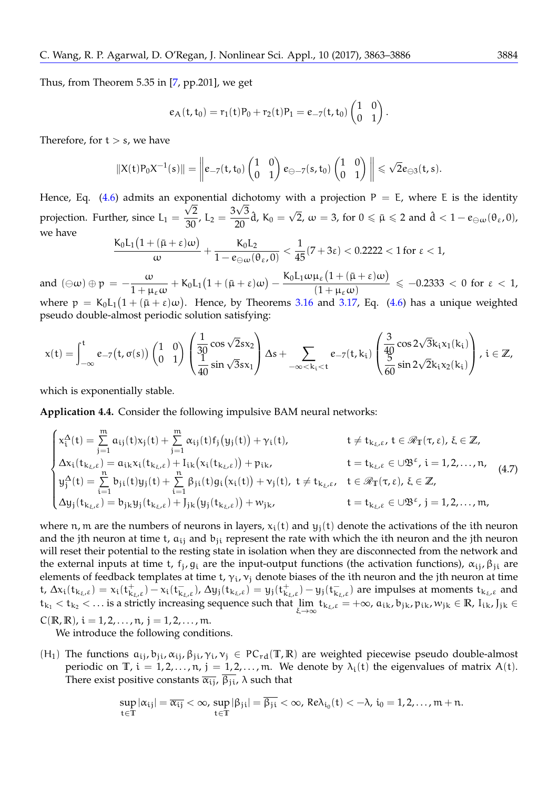Thus, from Theorem 5.35 in [\[7,](#page-23-1) pp.201], we get

$$
e_A(t, t_0) = r_1(t)P_0 + r_2(t)P_1 = e_{-7}(t, t_0) \begin{pmatrix} 1 & 0 \\ 0 & 1 \end{pmatrix}
$$

.

Therefore, for  $t > s$ , we have

$$
\|X(t)P_0X^{-1}(s)\|=\left\|e_{-7}(t,t_0)\begin{pmatrix}1&0\\0&1\end{pmatrix}e_{\ominus-7}(s,t_0)\begin{pmatrix}1&0\\0&1\end{pmatrix}\right\|\leqslant \sqrt{2}e_{\ominus 3}(t,s).
$$

Hence, Eq. [\(4.6\)](#page-20-0) admits an exponential dichotomy with a projection P = E, where E is the identity projection. Further, since  $L_1 = \frac{\sqrt{2}}{30}$ ,  $L_2 = \frac{3\sqrt{3}}{20}$   $\hat{d}$ ,  $K_0 = \sqrt{2}$ ,  $\omega = 3$ , for  $0 \le \bar{\mu} \le 2$  and  $\hat{d} < 1 - e_{\ominus \omega}(\theta_{\varepsilon}, 0)$ , we have

$$
\frac{K_0L_1\big(1+(\bar{\mu}+\epsilon)\omega\big)}{\omega}+\frac{K_0L_2}{1-e_{\ominus\omega}(\theta_{\epsilon},0)}<\frac{1}{45}(7+3\epsilon)<0.2222<1\ \text{for}\ \epsilon<1,
$$

and  $(\ominus \omega) \oplus p = -\frac{\omega}{1 + \omega}$  $\frac{\omega}{1+\mu_{\varepsilon}\omega}+K_{0}L_{1}(1+(\bar{\mu}+\varepsilon)\omega)-\frac{K_{0}L_{1}\omega\mu_{\varepsilon}(1+(\bar{\mu}+\varepsilon)\omega)}{(1+\mu_{\varepsilon}\omega)}$  $\frac{(\mu_{\varepsilon}(1 + (\mu + \varepsilon)\omega))}{(1 + \mu_{\varepsilon}\omega)} \le -0.2333 < 0$  for  $\varepsilon < 1$ , where  $p = K_0 L_1 (1 + (\bar{\mu} + \epsilon) \omega)$ . Hence, by Theorems [3.16](#page-15-0) and [3.17,](#page-16-0) Eq. [\(4.6\)](#page-20-0) has a unique weighted pseudo double-almost periodic solution satisfying:

$$
x(t)=\int_{-\infty}^t e_{-7}\big(t,\sigma(s)\big) \begin{pmatrix} 1 & 0 \\ 0 & 1 \end{pmatrix} \begin{pmatrix} \frac{1}{30}\cos\sqrt{2}sx_2 \\ \frac{1}{40}\sin\sqrt{3}sx_1 \end{pmatrix}\Delta s+\sum_{-\infty
$$

which is exponentially stable.

**Application 4.4.** Consider the following impulsive BAM neural networks:

<span id="page-21-0"></span>
$$
\begin{cases}\nx_i^{\Delta}(t) = \sum_{j=1}^{m} a_{ij}(t)x_j(t) + \sum_{j=1}^{m} \alpha_{ij}(t)f_j(y_j(t)) + \gamma_i(t), & t \neq t_{k_{\xi},\epsilon}, t \in \mathcal{R}_{\mathbb{T}}(\tau,\epsilon), \xi \in \mathbb{Z}, \\
\Delta x_i(t_{k_{\xi},\epsilon}) = a_{ik}x_i(t_{k_{\xi},\epsilon}) + I_{ik}(x_i(t_{k_{\xi},\epsilon})) + p_{ik}, & t = t_{k_{\xi},\epsilon} \in \cup \mathfrak{B}^{\epsilon}, i = 1,2,\ldots,n, \\
y_j^{\Delta}(t) = \sum_{i=1}^{n} b_{ji}(t)y_j(t) + \sum_{i=1}^{n} \beta_{ji}(t)g_i(x_i(t)) + v_j(t), & t \neq t_{k_{\xi},\epsilon}, t \in \mathcal{R}_{\mathbb{T}}(\tau,\epsilon), \xi \in \mathbb{Z}, \\
\Delta y_j(t_{k_{\xi},\epsilon}) = b_{jk}y_j(t_{k_{\xi},\epsilon}) + J_{jk}(y_j(t_{k_{\xi},\epsilon})) + w_{jk}, & t = t_{k_{\xi},\epsilon} \in \cup \mathfrak{B}^{\epsilon}, j = 1,2,\ldots,m,\n\end{cases}
$$
\n(4.7)

where n, m are the numbers of neurons in layers,  $x_i(t)$  and  $y_i(t)$  denote the activations of the ith neuron and the jth neuron at time t,  $a_{ij}$  and  $b_{ji}$  represent the rate with which the ith neuron and the jth neuron will reset their potential to the resting state in isolation when they are disconnected from the network and the external inputs at time t,  $f_j$ ,  $g_i$  are the input-output functions (the activation functions),  $\alpha_{ij}$ ,  $\beta_{ji}$  are elements of feedback templates at time t,  $\gamma_i$ ,  $\nu_j$  denote biases of the ith neuron and the jth neuron at time t,  $\Delta x_i(t_{k_\xi,\varepsilon}) = x_i(t_{k_\xi,\varepsilon}^+) - x_i(t_{k_\xi,\varepsilon}^-)$ ,  $\Delta y_j(t_{k_\xi,\varepsilon}) = y_j(t_{k_\xi,\varepsilon}^+) - y_j(t_{k_\xi,\varepsilon}^-)$  are impulses at moments  $t_{k_\xi,\varepsilon}$  and  $t_{k_1} < t_{k_2} < \dots$  is a strictly increasing sequence such that  $\lim_{k \to \infty}$  $\lim_{\xi \to \infty} t_{k_\xi,\varepsilon} = +\infty$ ,  $a_{ik}$ ,  $b_{jk}$ ,  $p_{ik}$ ,  $w_{jk} \in \mathbb{R}$ ,  $I_{ik}$ ,  $J_{jk} \in$  $C(R, R), i = 1, 2, ..., n, j = 1, 2, ..., m.$ 

We introduce the following conditions.

(H<sub>1</sub>) The functions  $a_{ij}, b_{ji}, \alpha_{ij}, \beta_{ji}, \gamma_i, \gamma_j \in PC_{rd}(T, R)$  are weighted piecewise pseudo double-almost periodic on  $\mathbb{T}$ ,  $i = 1, 2, ..., n$ ,  $j = 1, 2, ..., m$ . We denote by  $\lambda_i(t)$  the eigenvalues of matrix  $A(t)$ . There exist positive constants  $\overline{\alpha_{ij}}$ ,  $\overline{\beta_{ji}}$ ,  $\lambda$  such that

$$
\sup_{t\in\mathbb{T}}|\alpha_{ij}|=\overline{\alpha_{ij}}<\infty,\ \sup_{t\in\mathbb{T}}|\beta_{ji}|=\overline{\beta_{ji}}<\infty,\ \text{Re}\lambda_{i_0}(t)<-\lambda,\ i_0=1,2,\ldots,m+n.
$$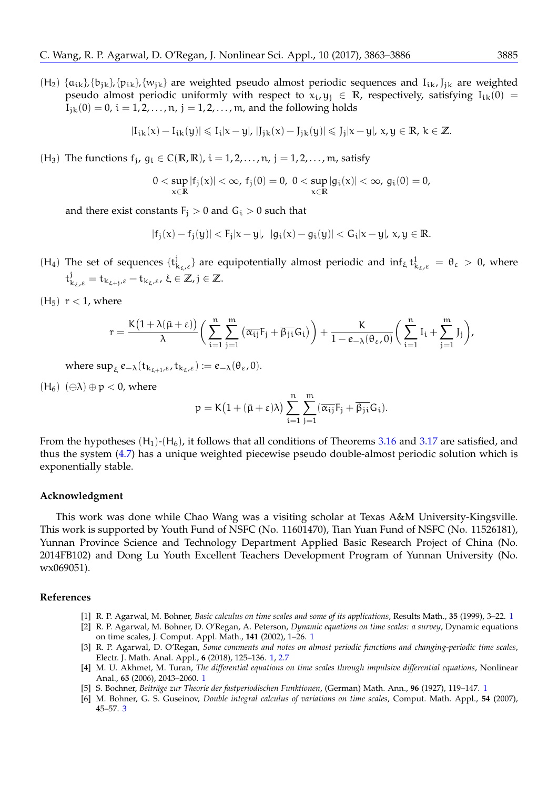$(H_2)$  { $a_{ik}$ }, { $b_{jk}$ }, { $p_{ik}$ }, { $w_{jk}$ } are weighted pseudo almost periodic sequences and  $I_{ik}$ ,  $J_{jk}$  are weighted pseudo almost periodic uniformly with respect to  $x_i, y_j \in \mathbb{R}$ , respectively, satisfying  $I_{ik}(0)$  =  $I_{ik}(0) = 0$ ,  $i = 1, 2, ..., n$ ,  $j = 1, 2, ..., m$ , and the following holds

$$
|I_{ik}(x)-I_{ik}(y)|\leqslant I_i|x-y|,\,|J_{jk}(x)-J_{jk}(y)|\leqslant J_j|x-y|,\,x,y\in\mathbb{R},\,k\in\mathbb{Z}.
$$

(H<sub>3</sub>) The functions  $f_j$ ,  $g_i \in C(\mathbb{R}, \mathbb{R})$ ,  $i = 1, 2, ..., n$ ,  $j = 1, 2, ..., m$ , satisfy

$$
0 < \sup_{x \in \mathbb{R}} |f_j(x)| < \infty, \ f_j(0) = 0, \ 0 < \sup_{x \in \mathbb{R}} |g_i(x)| < \infty, \ g_i(0) = 0,
$$

and there exist constants  $F_i > 0$  and  $G_i > 0$  such that

$$
|f_j(x)-f_j(y)| < F_j|x-y|, |g_i(x)-g_i(y)| < G_i|x-y|, x,y \in \mathbb{R}.
$$

- $(H_4)$  The set of sequences  $\{t\}$  $\mathcal{H}_{k_\xi,\varepsilon}$ } are equipotentially almost periodic and inf<sub>ξ</sub> t $\mathfrak{t}^1_{k_\xi,\varepsilon} = \theta_\varepsilon > 0$ , where  $\mathsf{t}^\mathfrak{j}_{\mathsf{k}_\xi,\varepsilon} = \mathsf{t}_{\mathsf{k}_{\xi+\mathfrak{j}},\varepsilon} - \mathsf{t}_{\mathsf{k}_\xi,\varepsilon}$ ,  $\xi \in \mathbb{Z}$ ,  $\mathfrak{j} \in \mathbb{Z}$ .
- $(H_5)$   $r < 1$ , where

$$
r = \frac{K\big(1 + \lambda(\bar{\mu} + \epsilon)\big)}{\lambda}\bigg(\sum_{i=1}^n\sum_{j=1}^m\big(\overline{\alpha_{ij}}F_j + \overline{\beta_{ji}}G_i\big)\bigg) + \frac{K}{1 - e_{-\lambda}(\theta_{\epsilon},0)}\bigg(\sum_{i=1}^nI_i + \sum_{j=1}^mJ_j\bigg),
$$

where  $\sup_{\xi}e_{-\lambda}(\mathsf{t}_{\mathsf{k}_{\xi+1},\varepsilon},\mathsf{t}_{\mathsf{k}_{\xi},\varepsilon}):=e_{-\lambda}(\theta_{\varepsilon},0).$ 

 $(H_6)$   $(\ominus \lambda) \oplus p < 0$ , where

$$
p=K\big(1+(\bar{\mu}+\epsilon)\lambda\big)\sum_{i=1}^n\sum_{j=1}^m(\overline{\alpha_{ij}}F_j+\overline{\beta_{ji}}G_i).
$$

From the hypotheses  $(H_1)$ - $(H_6)$ , it follows that all conditions of Theorems [3.16](#page-15-0) and [3.17](#page-16-0) are satisfied, and thus the system [\(4.7\)](#page-21-0) has a unique weighted piecewise pseudo double-almost periodic solution which is exponentially stable.

# **Acknowledgment**

This work was done while Chao Wang was a visiting scholar at Texas A&M University-Kingsville. This work is supported by Youth Fund of NSFC (No. 11601470), Tian Yuan Fund of NSFC (No. 11526181), Yunnan Province Science and Technology Department Applied Basic Research Project of China (No. 2014FB102) and Dong Lu Youth Excellent Teachers Development Program of Yunnan University (No. wx069051).

## **References**

- <span id="page-22-0"></span>[1] R. P. Agarwal, M. Bohner, *Basic calculus on time scales and some of its applications*, Results Math., **35** (1999), 3–22. [1](#page-0-0)
- <span id="page-22-1"></span>[2] R. P. Agarwal, M. Bohner, D. O'Regan, A. Peterson, *Dynamic equations on time scales: a survey*, Dynamic equations on time scales, J. Comput. Appl. Math., **141** (2002), 1–26. [1](#page-0-0)
- <span id="page-22-4"></span>[3] R. P. Agarwal, D. O'Regan, *Some comments and notes on almost periodic functions and changing-periodic time scales*, Electr. J. Math. Anal. Appl., **6** (2018), 125–136. [1,](#page-0-0) [2.7](#page-3-3)
- <span id="page-22-2"></span>[4] M. U. Akhmet, M. Turan, *The differential equations on time scales through impulsive differential equations*, Nonlinear Anal., **65** (2006), 2043–2060. [1](#page-0-0)
- <span id="page-22-3"></span>[5] S. Bochner, *Beitr¨age zur Theorie der fastperiodischen Funktionen*, (German) Math. Ann., **96** (1927), 119–147. [1](#page-0-0)
- <span id="page-22-5"></span>[6] M. Bohner, G. S. Guseinov, *Double integral calculus of variations on time scales*, Comput. Math. Appl., **54** (2007), 45–57. [3](#page-10-0)